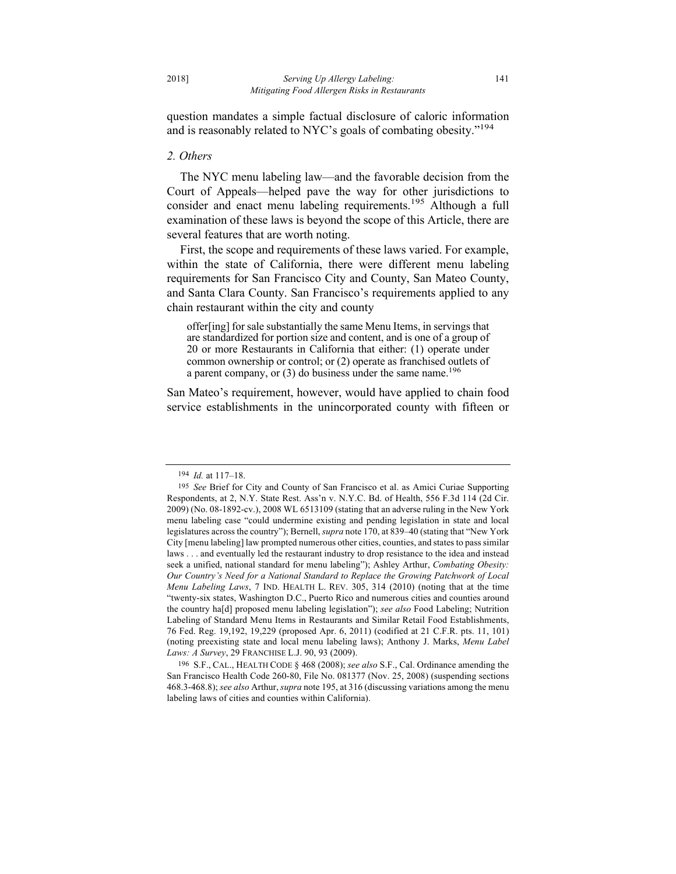question mandates a simple factual disclosure of caloric information and is reasonably related to NYC's goals of combating obesity."<sup>194</sup>

## *2. Others*

The NYC menu labeling law—and the favorable decision from the Court of Appeals—helped pave the way for other jurisdictions to consider and enact menu labeling requirements.<sup>195</sup> Although a full examination of these laws is beyond the scope of this Article, there are several features that are worth noting.

First, the scope and requirements of these laws varied. For example, within the state of California, there were different menu labeling requirements for San Francisco City and County, San Mateo County, and Santa Clara County. San Francisco's requirements applied to any chain restaurant within the city and county

offer[ing] for sale substantially the same Menu Items, in servings that are standardized for portion size and content, and is one of a group of 20 or more Restaurants in California that either: (1) operate under common ownership or control; or (2) operate as franchised outlets of a parent company, or  $(3)$  do business under the same name.<sup>196</sup>

San Mateo's requirement, however, would have applied to chain food service establishments in the unincorporated county with fifteen or

<sup>194</sup> *Id.* at 117–18.

<sup>195</sup> *See* Brief for City and County of San Francisco et al. as Amici Curiae Supporting Respondents, at 2, N.Y. State Rest. Ass'n v. N.Y.C. Bd. of Health, 556 F.3d 114 (2d Cir. 2009) (No. 08-1892-cv.), 2008 WL 6513109 (stating that an adverse ruling in the New York menu labeling case "could undermine existing and pending legislation in state and local legislatures across the country"); Bernell, *supra* note 170, at 839–40 (stating that "New York City [menu labeling] law prompted numerous other cities, counties, and states to pass similar laws . . . and eventually led the restaurant industry to drop resistance to the idea and instead seek a unified, national standard for menu labeling"); Ashley Arthur, *Combating Obesity: Our Country's Need for a National Standard to Replace the Growing Patchwork of Local Menu Labeling Laws*, 7 IND. HEALTH L. REV. 305, 314 (2010) (noting that at the time "twenty-six states, Washington D.C., Puerto Rico and numerous cities and counties around the country ha[d] proposed menu labeling legislation"); *see also* Food Labeling; Nutrition Labeling of Standard Menu Items in Restaurants and Similar Retail Food Establishments, 76 Fed. Reg. 19,192, 19,229 (proposed Apr. 6, 2011) (codified at 21 C.F.R. pts. 11, 101) (noting preexisting state and local menu labeling laws); Anthony J. Marks, *Menu Label Laws: A Survey*, 29 FRANCHISE L.J. 90, 93 (2009).

<sup>196</sup> S.F., CAL., HEALTH CODE § 468 (2008); *see also* S.F., Cal. Ordinance amending the San Francisco Health Code 260-80, File No. 081377 (Nov. 25, 2008) (suspending sections 468.3-468.8); *see also* Arthur, *supra* note 195, at 316 (discussing variations among the menu labeling laws of cities and counties within California).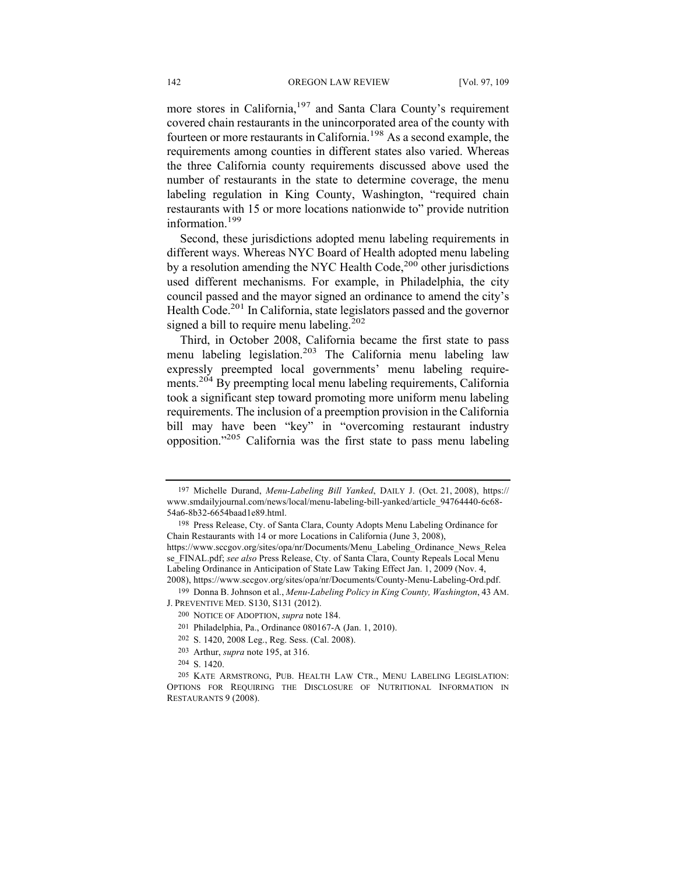more stores in California,197 and Santa Clara County's requirement covered chain restaurants in the unincorporated area of the county with fourteen or more restaurants in California.<sup>198</sup> As a second example, the requirements among counties in different states also varied. Whereas the three California county requirements discussed above used the number of restaurants in the state to determine coverage, the menu labeling regulation in King County, Washington, "required chain restaurants with 15 or more locations nationwide to" provide nutrition information.<sup>199</sup>

Second, these jurisdictions adopted menu labeling requirements in different ways. Whereas NYC Board of Health adopted menu labeling by a resolution amending the NYC Health Code, $200$  other jurisdictions used different mechanisms. For example, in Philadelphia, the city council passed and the mayor signed an ordinance to amend the city's Health Code.<sup>201</sup> In California, state legislators passed and the governor signed a bill to require menu labeling.<sup>202</sup>

Third, in October 2008, California became the first state to pass menu labeling legislation.<sup>203</sup> The California menu labeling law expressly preempted local governments' menu labeling requirements.204 By preempting local menu labeling requirements, California took a significant step toward promoting more uniform menu labeling requirements. The inclusion of a preemption provision in the California bill may have been "key" in "overcoming restaurant industry opposition."205 California was the first state to pass menu labeling

204 S. 1420.

<sup>197</sup> Michelle Durand, *Menu-Labeling Bill Yanked*, DAILY J. (Oct. 21, 2008), https:// www.smdailyjournal.com/news/local/menu-labeling-bill-yanked/article\_94764440-6c68- 54a6-8b32-6654baad1e89.html.

<sup>198</sup> Press Release, Cty. of Santa Clara, County Adopts Menu Labeling Ordinance for Chain Restaurants with 14 or more Locations in California (June 3, 2008), https://www.sccgov.org/sites/opa/nr/Documents/Menu\_Labeling\_Ordinance\_News\_Relea se\_FINAL.pdf; *see also* Press Release, Cty. of Santa Clara, County Repeals Local Menu Labeling Ordinance in Anticipation of State Law Taking Effect Jan. 1, 2009 (Nov. 4, 2008), https://www.sccgov.org/sites/opa/nr/Documents/County-Menu-Labeling-Ord.pdf.

<sup>199</sup> Donna B. Johnson et al., *Menu-Labeling Policy in King County, Washington*, 43 AM. J. PREVENTIVE MED. S130, S131 (2012).

<sup>200</sup> NOTICE OF ADOPTION, *supra* note 184.

<sup>201</sup> Philadelphia, Pa., Ordinance 080167-A (Jan. 1, 2010).

<sup>202</sup> S. 1420, 2008 Leg., Reg. Sess. (Cal. 2008).

<sup>203</sup> Arthur, *supra* note 195, at 316.

<sup>205</sup> KATE ARMSTRONG, PUB. HEALTH LAW CTR., MENU LABELING LEGISLATION: OPTIONS FOR REQUIRING THE DISCLOSURE OF NUTRITIONAL INFORMATION IN RESTAURANTS 9 (2008).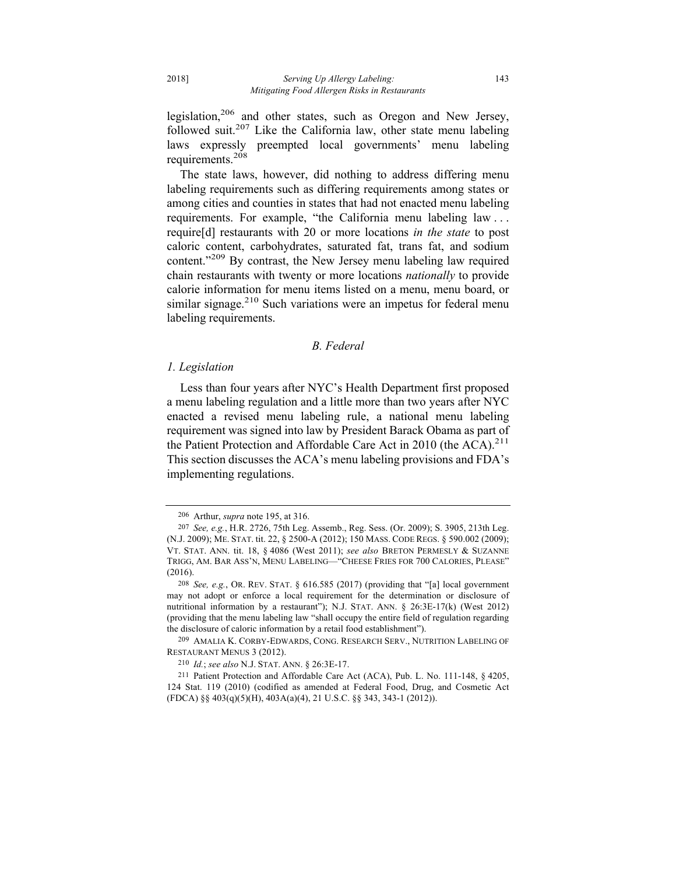legislation,<sup>206</sup> and other states, such as Oregon and New Jersey, followed suit.<sup>207</sup> Like the California law, other state menu labeling laws expressly preempted local governments' menu labeling requirements.<sup>208</sup>

The state laws, however, did nothing to address differing menu labeling requirements such as differing requirements among states or among cities and counties in states that had not enacted menu labeling requirements. For example, "the California menu labeling law . . . require[d] restaurants with 20 or more locations *in the state* to post caloric content, carbohydrates, saturated fat, trans fat, and sodium content."<sup>209</sup> By contrast, the New Jersey menu labeling law required chain restaurants with twenty or more locations *nationally* to provide calorie information for menu items listed on a menu, menu board, or similar signage.<sup>210</sup> Such variations were an impetus for federal menu labeling requirements.

## *B. Federal*

## *1. Legislation*

Less than four years after NYC's Health Department first proposed a menu labeling regulation and a little more than two years after NYC enacted a revised menu labeling rule, a national menu labeling requirement was signed into law by President Barack Obama as part of the Patient Protection and Affordable Care Act in 2010 (the  $ACA$ ).<sup>211</sup> This section discusses the ACA's menu labeling provisions and FDA's implementing regulations.

<sup>206</sup> Arthur, *supra* note 195, at 316.

<sup>207</sup> *See, e.g.*, H.R. 2726, 75th Leg. Assemb., Reg. Sess. (Or. 2009); S. 3905, 213th Leg. (N.J. 2009); ME. STAT. tit. 22, § 2500-A (2012); 150 MASS. CODE REGS. § 590.002 (2009); VT. STAT. ANN. tit. 18, § 4086 (West 2011); *see also* BRETON PERMESLY & SUZANNE TRIGG, AM. BAR ASS'N, MENU LABELING—"CHEESE FRIES FOR 700 CALORIES, PLEASE" (2016).

<sup>208</sup> *See, e.g.*, OR. REV. STAT. § 616.585 (2017) (providing that "[a] local government may not adopt or enforce a local requirement for the determination or disclosure of nutritional information by a restaurant"); N.J. STAT. ANN. § 26:3E-17(k) (West 2012) (providing that the menu labeling law "shall occupy the entire field of regulation regarding the disclosure of caloric information by a retail food establishment").

<sup>209</sup> AMALIA K. CORBY-EDWARDS, CONG. RESEARCH SERV., NUTRITION LABELING OF RESTAURANT MENUS 3 (2012).

<sup>210</sup> *Id.*; *see also* N.J. STAT. ANN. § 26:3E-17.

<sup>211</sup> Patient Protection and Affordable Care Act (ACA), Pub. L. No. 111-148, § 4205, 124 Stat. 119 (2010) (codified as amended at Federal Food, Drug, and Cosmetic Act (FDCA) §§ 403(q)(5)(H), 403A(a)(4), 21 U.S.C. §§ 343, 343-1 (2012)).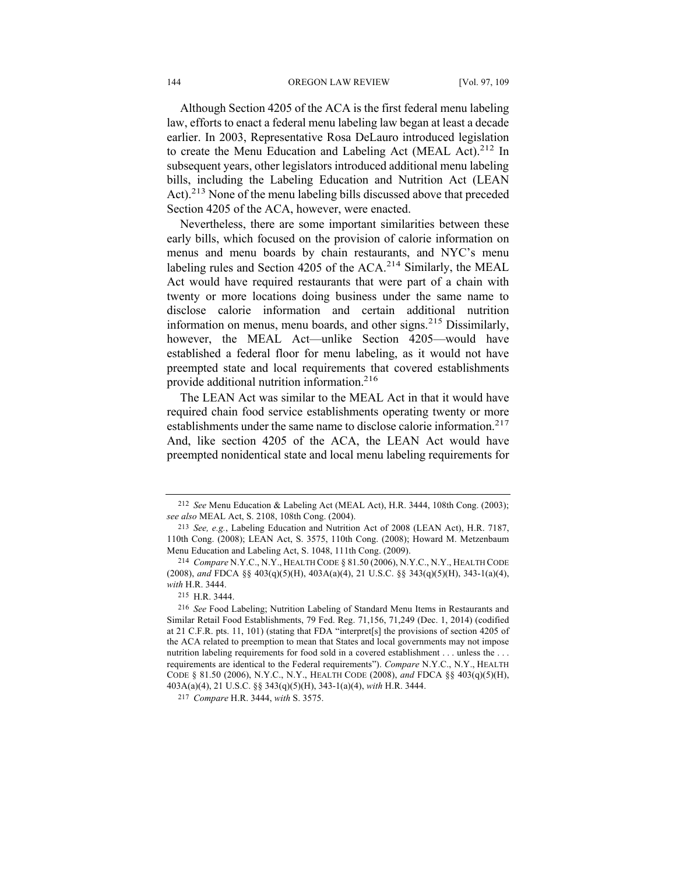Although Section 4205 of the ACA is the first federal menu labeling law, efforts to enact a federal menu labeling law began at least a decade earlier. In 2003, Representative Rosa DeLauro introduced legislation to create the Menu Education and Labeling Act (MEAL Act).<sup>212</sup> In subsequent years, other legislators introduced additional menu labeling bills, including the Labeling Education and Nutrition Act (LEAN Act).<sup>213</sup> None of the menu labeling bills discussed above that preceded Section 4205 of the ACA, however, were enacted.

Nevertheless, there are some important similarities between these early bills, which focused on the provision of calorie information on menus and menu boards by chain restaurants, and NYC's menu labeling rules and Section 4205 of the  $ACA<sup>214</sup>$  Similarly, the MEAL Act would have required restaurants that were part of a chain with twenty or more locations doing business under the same name to disclose calorie information and certain additional nutrition information on menus, menu boards, and other signs.<sup>215</sup> Dissimilarly, however, the MEAL Act—unlike Section 4205—would have established a federal floor for menu labeling, as it would not have preempted state and local requirements that covered establishments provide additional nutrition information.<sup>216</sup>

The LEAN Act was similar to the MEAL Act in that it would have required chain food service establishments operating twenty or more establishments under the same name to disclose calorie information.<sup>217</sup> And, like section 4205 of the ACA, the LEAN Act would have preempted nonidentical state and local menu labeling requirements for

<sup>212</sup> *See* Menu Education & Labeling Act (MEAL Act), H.R. 3444, 108th Cong. (2003); *see also* MEAL Act, S. 2108, 108th Cong. (2004).

<sup>213</sup> *See, e.g.*, Labeling Education and Nutrition Act of 2008 (LEAN Act), H.R. 7187, 110th Cong. (2008); LEAN Act, S. 3575, 110th Cong. (2008); Howard M. Metzenbaum Menu Education and Labeling Act, S. 1048, 111th Cong. (2009).

<sup>214</sup> *Compare* N.Y.C., N.Y., HEALTH CODE § 81.50 (2006), N.Y.C., N.Y., HEALTH CODE (2008), *and* FDCA §§ 403(q)(5)(H), 403A(a)(4), 21 U.S.C. §§ 343(q)(5)(H), 343-1(a)(4), *with* H.R. 3444.

<sup>215</sup> H.R. 3444.

<sup>216</sup> *See* Food Labeling; Nutrition Labeling of Standard Menu Items in Restaurants and Similar Retail Food Establishments, 79 Fed. Reg. 71,156, 71,249 (Dec. 1, 2014) (codified at 21 C.F.R. pts. 11, 101) (stating that FDA "interpret[s] the provisions of section 4205 of the ACA related to preemption to mean that States and local governments may not impose nutrition labeling requirements for food sold in a covered establishment . . . unless the . . . requirements are identical to the Federal requirements"). *Compare* N.Y.C., N.Y., HEALTH CODE § 81.50 (2006), N.Y.C., N.Y., HEALTH CODE (2008), *and* FDCA §§ 403(q)(5)(H), 403A(a)(4), 21 U.S.C. §§ 343(q)(5)(H), 343-1(a)(4), *with* H.R. 3444.

<sup>217</sup> *Compare* H.R. 3444, *with* S. 3575.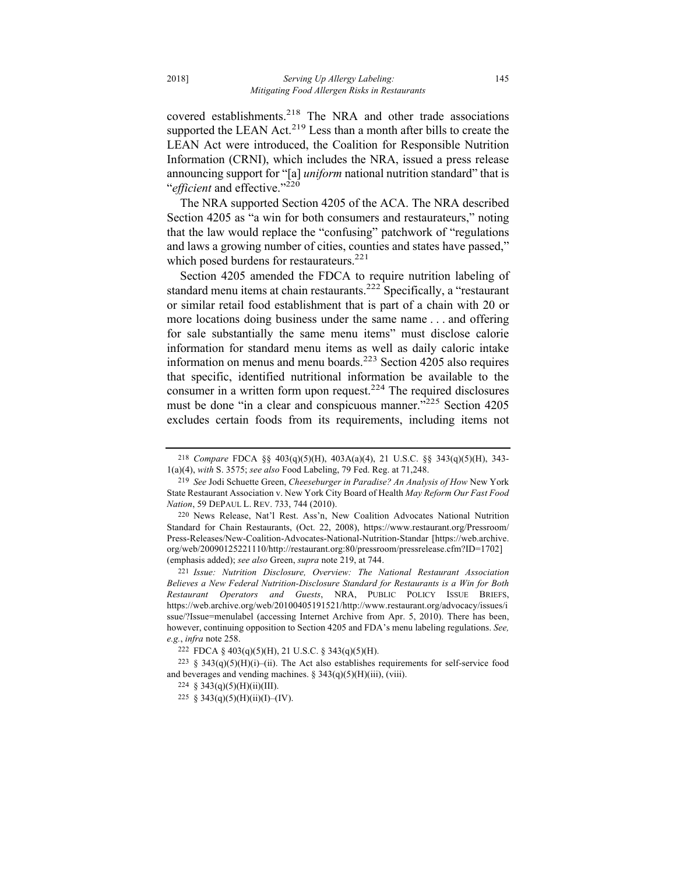covered establishments.<sup>218</sup> The NRA and other trade associations supported the LEAN Act. $2^{19}$  Less than a month after bills to create the LEAN Act were introduced, the Coalition for Responsible Nutrition Information (CRNI), which includes the NRA, issued a press release announcing support for "[a] *uniform* national nutrition standard" that is "*efficient* and effective."220

The NRA supported Section 4205 of the ACA. The NRA described Section 4205 as "a win for both consumers and restaurateurs," noting that the law would replace the "confusing" patchwork of "regulations and laws a growing number of cities, counties and states have passed," which posed burdens for restaurateurs.<sup>221</sup>

Section 4205 amended the FDCA to require nutrition labeling of standard menu items at chain restaurants.<sup>222</sup> Specifically, a "restaurant or similar retail food establishment that is part of a chain with 20 or more locations doing business under the same name . . . and offering for sale substantially the same menu items" must disclose calorie information for standard menu items as well as daily caloric intake information on menus and menu boards.<sup>223</sup> Section  $4205$  also requires that specific, identified nutritional information be available to the consumer in a written form upon request.<sup>224</sup> The required disclosures must be done "in a clear and conspicuous manner."<sup>225</sup> Section 4205 excludes certain foods from its requirements, including items not

<sup>218</sup> *Compare* FDCA §§ 403(q)(5)(H), 403A(a)(4), 21 U.S.C. §§ 343(q)(5)(H), 343- 1(a)(4), *with* S. 3575; *see also* Food Labeling, 79 Fed. Reg. at 71,248.

<sup>219</sup> *See* Jodi Schuette Green, *Cheeseburger in Paradise? An Analysis of How* New York State Restaurant Association v. New York City Board of Health *May Reform Our Fast Food Nation*, 59 DEPAUL L. REV. 733, 744 (2010).

<sup>220</sup> News Release, Nat'l Rest. Ass'n, New Coalition Advocates National Nutrition Standard for Chain Restaurants, (Oct. 22, 2008), https://www.restaurant.org/Pressroom/ Press-Releases/New-Coalition-Advocates-National-Nutrition-Standar [https://web.archive. org/web/20090125221110/http://restaurant.org:80/pressroom/pressrelease.cfm?ID=1702] (emphasis added); *see also* Green, *supra* note 219, at 744.

<sup>221</sup> *Issue: Nutrition Disclosure, Overview: The National Restaurant Association Believes a New Federal Nutrition-Disclosure Standard for Restaurants is a Win for Both Restaurant Operators and Guests*, NRA, PUBLIC POLICY ISSUE BRIEFS, https://web.archive.org/web/20100405191521/http://www.restaurant.org/advocacy/issues/i ssue/?Issue=menulabel (accessing Internet Archive from Apr. 5, 2010). There has been, however, continuing opposition to Section 4205 and FDA's menu labeling regulations. *See, e.g.*, *infra* note 258.

<sup>222</sup> FDCA § 403(q)(5)(H), 21 U.S.C. § 343(q)(5)(H).

 $223 \text{ § } 343(q)(5)(H)(i)$ -(ii). The Act also establishes requirements for self-service food and beverages and vending machines. § 343(q)(5)(H)(iii), (viii).

<sup>224</sup> § 343(q)(5)(H)(ii)(III).

<sup>225 § 343(</sup>q)(5)(H)(ii)(I)–(IV).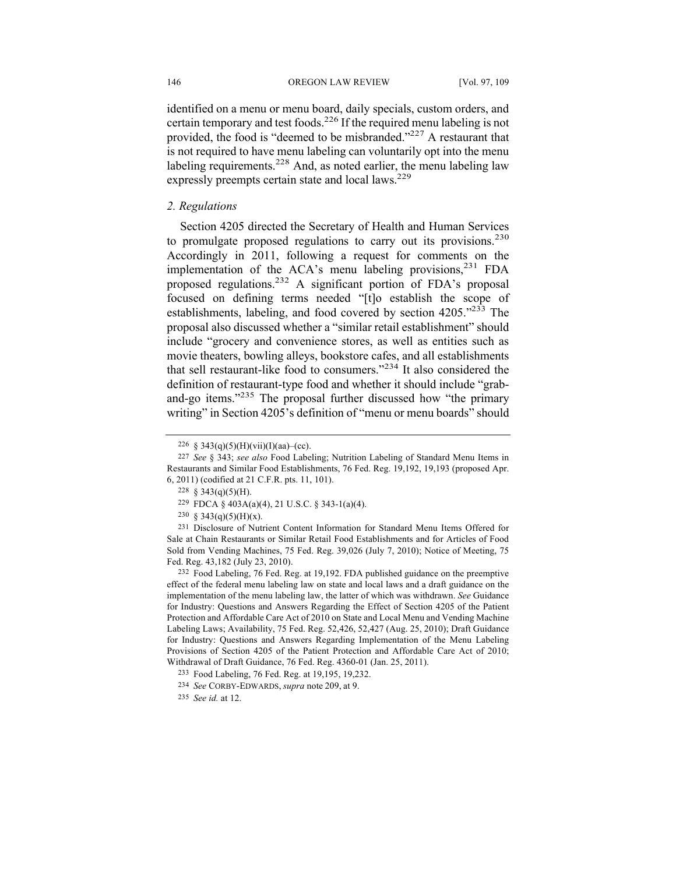identified on a menu or menu board, daily specials, custom orders, and certain temporary and test foods.226 If the required menu labeling is not provided, the food is "deemed to be misbranded."227 A restaurant that is not required to have menu labeling can voluntarily opt into the menu labeling requirements.<sup>228</sup> And, as noted earlier, the menu labeling law expressly preempts certain state and local laws.<sup>229</sup>

## *2. Regulations*

Section 4205 directed the Secretary of Health and Human Services to promulgate proposed regulations to carry out its provisions.<sup>230</sup> Accordingly in 2011, following a request for comments on the implementation of the ACA's menu labeling provisions,  $231$  FDA proposed regulations.232 A significant portion of FDA's proposal focused on defining terms needed "[t]o establish the scope of establishments, labeling, and food covered by section 4205."<sup>233</sup> The proposal also discussed whether a "similar retail establishment" should include "grocery and convenience stores, as well as entities such as movie theaters, bowling alleys, bookstore cafes, and all establishments that sell restaurant-like food to consumers."<sup>234</sup> It also considered the definition of restaurant-type food and whether it should include "graband-go items."<sup>235</sup> The proposal further discussed how "the primary writing" in Section 4205's definition of "menu or menu boards" should

<sup>226 § 343(</sup>q)(5)(H)(vii)(I)(aa)–(cc).

<sup>227</sup> *See* § 343; *see also* Food Labeling; Nutrition Labeling of Standard Menu Items in Restaurants and Similar Food Establishments, 76 Fed. Reg. 19,192, 19,193 (proposed Apr. 6, 2011) (codified at 21 C.F.R. pts. 11, 101).

<sup>228</sup>  $§$  343(q)(5)(H).

<sup>229</sup> FDCA § 403A(a)(4), 21 U.S.C. § 343-1(a)(4).

<sup>230 § 343(</sup>q)(5)(H)(x).

<sup>231</sup> Disclosure of Nutrient Content Information for Standard Menu Items Offered for Sale at Chain Restaurants or Similar Retail Food Establishments and for Articles of Food Sold from Vending Machines, 75 Fed. Reg. 39,026 (July 7, 2010); Notice of Meeting, 75 Fed. Reg. 43,182 (July 23, 2010).

<sup>232</sup> Food Labeling, 76 Fed. Reg. at 19,192. FDA published guidance on the preemptive effect of the federal menu labeling law on state and local laws and a draft guidance on the implementation of the menu labeling law, the latter of which was withdrawn. *See* Guidance for Industry: Questions and Answers Regarding the Effect of Section 4205 of the Patient Protection and Affordable Care Act of 2010 on State and Local Menu and Vending Machine Labeling Laws; Availability, 75 Fed. Reg. 52,426, 52,427 (Aug. 25, 2010); Draft Guidance for Industry: Questions and Answers Regarding Implementation of the Menu Labeling Provisions of Section 4205 of the Patient Protection and Affordable Care Act of 2010; Withdrawal of Draft Guidance, 76 Fed. Reg. 4360-01 (Jan. 25, 2011).

<sup>233</sup> Food Labeling, 76 Fed. Reg. at 19,195, 19,232.

<sup>234</sup> *See* CORBY-EDWARDS, *supra* note 209, at 9.

<sup>235</sup> *See id.* at 12.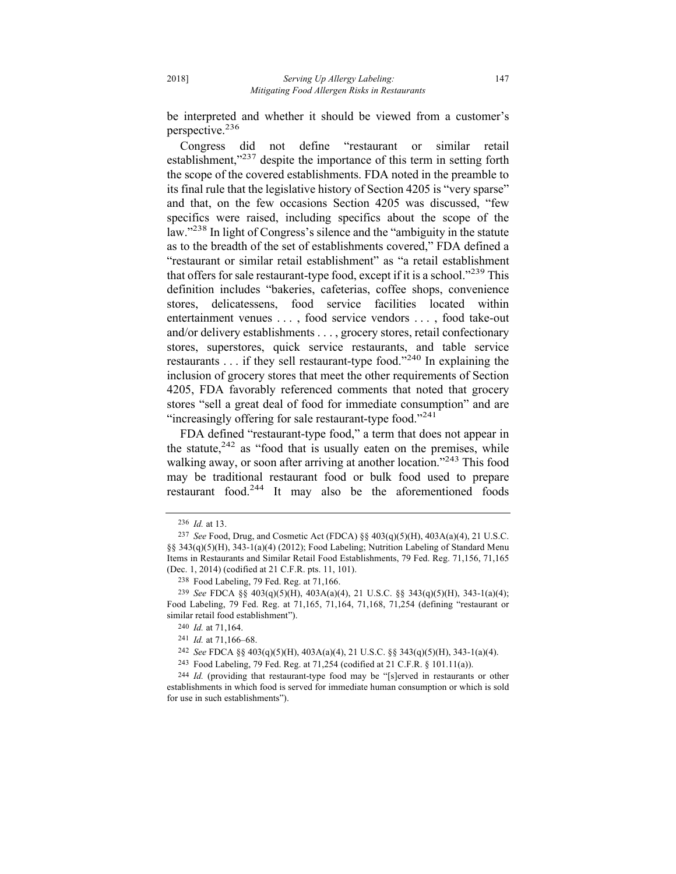be interpreted and whether it should be viewed from a customer's perspective.236

Congress did not define "restaurant or similar retail establishment,"<sup>237</sup> despite the importance of this term in setting forth the scope of the covered establishments. FDA noted in the preamble to its final rule that the legislative history of Section 4205 is "very sparse" and that, on the few occasions Section 4205 was discussed, "few specifics were raised, including specifics about the scope of the law."<sup>238</sup> In light of Congress's silence and the "ambiguity in the statute" as to the breadth of the set of establishments covered," FDA defined a "restaurant or similar retail establishment" as "a retail establishment that offers for sale restaurant-type food, except if it is a school."<sup>239</sup> This definition includes "bakeries, cafeterias, coffee shops, convenience stores, delicatessens, food service facilities located within entertainment venues . . . , food service vendors . . . , food take-out and/or delivery establishments . . . , grocery stores, retail confectionary stores, superstores, quick service restaurants, and table service restaurants . . . if they sell restaurant-type food."<sup>240</sup> In explaining the inclusion of grocery stores that meet the other requirements of Section 4205, FDA favorably referenced comments that noted that grocery stores "sell a great deal of food for immediate consumption" and are "increasingly offering for sale restaurant-type food."<sup>241</sup>

FDA defined "restaurant-type food," a term that does not appear in the statute, $242$  as "food that is usually eaten on the premises, while walking away, or soon after arriving at another location."<sup>243</sup> This food may be traditional restaurant food or bulk food used to prepare restaurant food.<sup>244</sup> It may also be the aforementioned foods

<sup>236</sup> *Id.* at 13.

<sup>237</sup> *See* Food, Drug, and Cosmetic Act (FDCA) §§ 403(q)(5)(H), 403A(a)(4), 21 U.S.C. §§ 343(q)(5)(H), 343-1(a)(4) (2012); Food Labeling; Nutrition Labeling of Standard Menu Items in Restaurants and Similar Retail Food Establishments, 79 Fed. Reg. 71,156, 71,165 (Dec. 1, 2014) (codified at 21 C.F.R. pts. 11, 101).

<sup>238</sup> Food Labeling, 79 Fed. Reg. at 71,166.

<sup>239</sup> *See* FDCA §§ 403(q)(5)(H), 403A(a)(4), 21 U.S.C. §§ 343(q)(5)(H), 343-1(a)(4); Food Labeling, 79 Fed. Reg. at 71,165, 71,164, 71,168, 71,254 (defining "restaurant or similar retail food establishment").

<sup>240</sup> *Id.* at 71,164.

<sup>241</sup> *Id.* at 71,166–68.

<sup>242</sup> *See* FDCA §§ 403(q)(5)(H), 403A(a)(4), 21 U.S.C. §§ 343(q)(5)(H), 343-1(a)(4).

<sup>243</sup> Food Labeling, 79 Fed. Reg. at 71,254 (codified at 21 C.F.R. § 101.11(a)).

<sup>244</sup> *Id.* (providing that restaurant-type food may be "[s]erved in restaurants or other establishments in which food is served for immediate human consumption or which is sold for use in such establishments").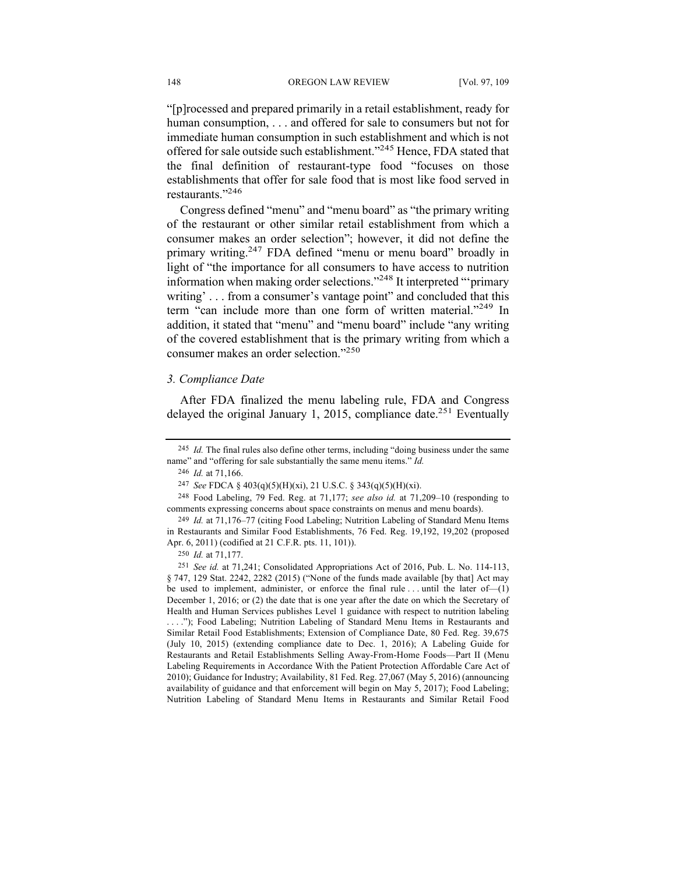"[p]rocessed and prepared primarily in a retail establishment, ready for human consumption, . . . and offered for sale to consumers but not for immediate human consumption in such establishment and which is not offered for sale outside such establishment."<sup>245</sup> Hence, FDA stated that the final definition of restaurant-type food "focuses on those establishments that offer for sale food that is most like food served in restaurants."246

Congress defined "menu" and "menu board" as "the primary writing of the restaurant or other similar retail establishment from which a consumer makes an order selection"; however, it did not define the primary writing.247 FDA defined "menu or menu board" broadly in light of "the importance for all consumers to have access to nutrition information when making order selections."248 It interpreted "'primary writing'... from a consumer's vantage point" and concluded that this term "can include more than one form of written material."<sup>249</sup> In addition, it stated that "menu" and "menu board" include "any writing of the covered establishment that is the primary writing from which a consumer makes an order selection."250

## *3. Compliance Date*

After FDA finalized the menu labeling rule, FDA and Congress delayed the original January 1, 2015, compliance date.<sup>251</sup> Eventually

245 *Id.* The final rules also define other terms, including "doing business under the same name" and "offering for sale substantially the same menu items." *Id.*

248 Food Labeling, 79 Fed. Reg. at 71,177; *see also id.* at 71,209–10 (responding to comments expressing concerns about space constraints on menus and menu boards).

<sup>246</sup> *Id.* at 71,166.

<sup>247</sup> *See* FDCA § 403(q)(5)(H)(xi), 21 U.S.C. § 343(q)(5)(H)(xi).

<sup>249</sup> *Id.* at 71,176–77 (citing Food Labeling; Nutrition Labeling of Standard Menu Items in Restaurants and Similar Food Establishments, 76 Fed. Reg. 19,192, 19,202 (proposed Apr. 6, 2011) (codified at 21 C.F.R. pts. 11, 101)).

<sup>250</sup> *Id.* at 71,177.

<sup>251</sup> *See id.* at 71,241; Consolidated Appropriations Act of 2016, Pub. L. No. 114-113, § 747, 129 Stat. 2242, 2282 (2015) ("None of the funds made available [by that] Act may be used to implement, administer, or enforce the final rule  $\dots$  until the later of  $-(1)$ December 1, 2016; or (2) the date that is one year after the date on which the Secretary of Health and Human Services publishes Level 1 guidance with respect to nutrition labeling . . . ."); Food Labeling; Nutrition Labeling of Standard Menu Items in Restaurants and Similar Retail Food Establishments; Extension of Compliance Date, 80 Fed. Reg. 39,675 (July 10, 2015) (extending compliance date to Dec. 1, 2016); A Labeling Guide for Restaurants and Retail Establishments Selling Away-From-Home Foods—Part II (Menu Labeling Requirements in Accordance With the Patient Protection Affordable Care Act of 2010); Guidance for Industry; Availability, 81 Fed. Reg. 27,067 (May 5, 2016) (announcing availability of guidance and that enforcement will begin on May 5, 2017); Food Labeling; Nutrition Labeling of Standard Menu Items in Restaurants and Similar Retail Food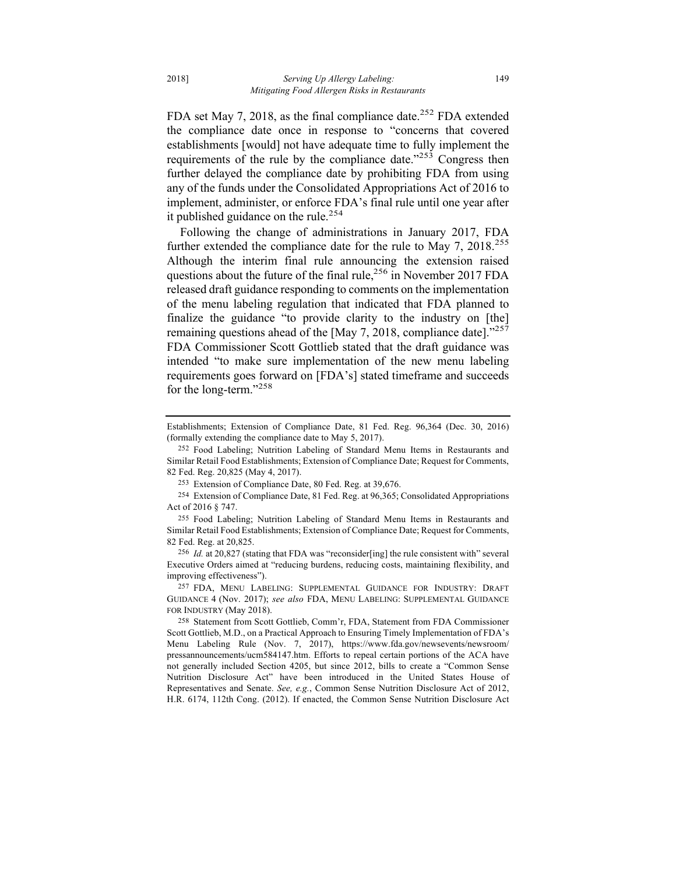FDA set May 7, 2018, as the final compliance date.<sup>252</sup> FDA extended the compliance date once in response to "concerns that covered establishments [would] not have adequate time to fully implement the requirements of the rule by the compliance date." $25\overline{3}$  Congress then further delayed the compliance date by prohibiting FDA from using any of the funds under the Consolidated Appropriations Act of 2016 to implement, administer, or enforce FDA's final rule until one year after it published guidance on the rule.<sup>254</sup>

Following the change of administrations in January 2017, FDA further extended the compliance date for the rule to May 7,  $2018^{255}$ Although the interim final rule announcing the extension raised questions about the future of the final rule,  $256$  in November 2017 FDA released draft guidance responding to comments on the implementation of the menu labeling regulation that indicated that FDA planned to finalize the guidance "to provide clarity to the industry on [the] remaining questions ahead of the [May 7, 2018, compliance date]."<sup>257</sup> FDA Commissioner Scott Gottlieb stated that the draft guidance was intended "to make sure implementation of the new menu labeling requirements goes forward on [FDA's] stated timeframe and succeeds for the long-term."<sup>258</sup>

253 Extension of Compliance Date, 80 Fed. Reg. at 39,676.

254 Extension of Compliance Date, 81 Fed. Reg. at 96,365; Consolidated Appropriations Act of 2016 § 747.

Establishments; Extension of Compliance Date, 81 Fed. Reg. 96,364 (Dec. 30, 2016) (formally extending the compliance date to May 5, 2017).

<sup>252</sup> Food Labeling; Nutrition Labeling of Standard Menu Items in Restaurants and Similar Retail Food Establishments; Extension of Compliance Date; Request for Comments, 82 Fed. Reg. 20,825 (May 4, 2017).

<sup>255</sup> Food Labeling; Nutrition Labeling of Standard Menu Items in Restaurants and Similar Retail Food Establishments; Extension of Compliance Date; Request for Comments, 82 Fed. Reg. at 20,825.

<sup>256</sup> *Id.* at 20,827 (stating that FDA was "reconsider[ing] the rule consistent with" several Executive Orders aimed at "reducing burdens, reducing costs, maintaining flexibility, and improving effectiveness").

<sup>257</sup> FDA, MENU LABELING: SUPPLEMENTAL GUIDANCE FOR INDUSTRY: DRAFT GUIDANCE 4 (Nov. 2017); *see also* FDA, MENU LABELING: SUPPLEMENTAL GUIDANCE FOR INDUSTRY (May 2018).

<sup>258</sup> Statement from Scott Gottlieb, Comm'r, FDA, Statement from FDA Commissioner Scott Gottlieb, M.D., on a Practical Approach to Ensuring Timely Implementation of FDA's Menu Labeling Rule (Nov. 7, 2017), https://www.fda.gov/newsevents/newsroom/ pressannouncements/ucm584147.htm. Efforts to repeal certain portions of the ACA have not generally included Section 4205, but since 2012, bills to create a "Common Sense Nutrition Disclosure Act" have been introduced in the United States House of Representatives and Senate. *See, e.g.*, Common Sense Nutrition Disclosure Act of 2012, H.R. 6174, 112th Cong. (2012). If enacted, the Common Sense Nutrition Disclosure Act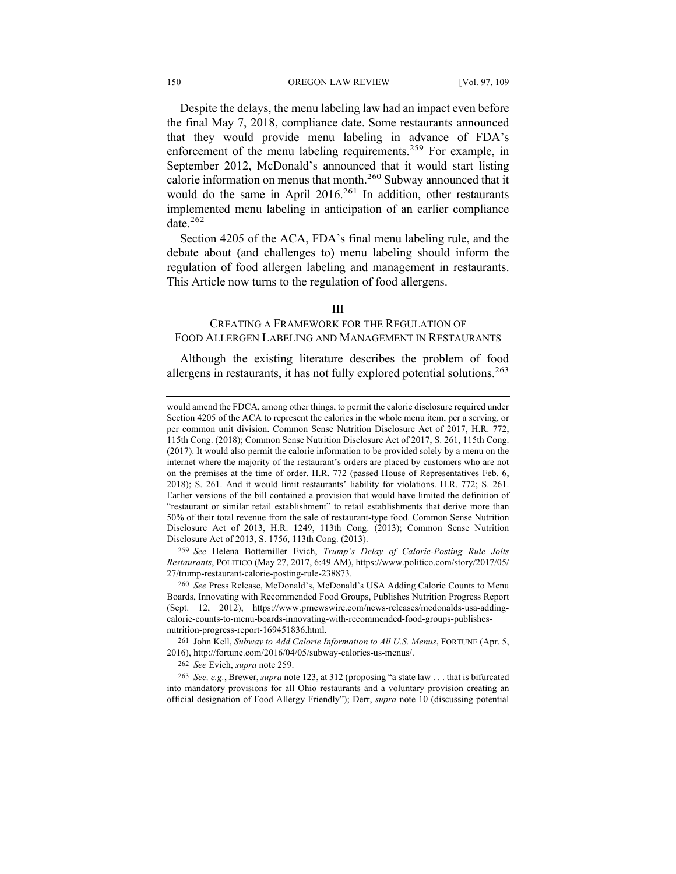#### 150 **OREGON LAW REVIEW** [Vol. 97, 109]

Despite the delays, the menu labeling law had an impact even before the final May 7, 2018, compliance date. Some restaurants announced that they would provide menu labeling in advance of FDA's enforcement of the menu labeling requirements.<sup>259</sup> For example, in September 2012, McDonald's announced that it would start listing calorie information on menus that month.<sup>260</sup> Subway announced that it would do the same in April 2016.<sup>261</sup> In addition, other restaurants implemented menu labeling in anticipation of an earlier compliance date.<sup>262</sup>

Section 4205 of the ACA, FDA's final menu labeling rule, and the debate about (and challenges to) menu labeling should inform the regulation of food allergen labeling and management in restaurants. This Article now turns to the regulation of food allergens.

## III

# CREATING A FRAMEWORK FOR THE REGULATION OF FOOD ALLERGEN LABELING AND MANAGEMENT IN RESTAURANTS

Although the existing literature describes the problem of food allergens in restaurants, it has not fully explored potential solutions.<sup>263</sup>

259 *See* Helena Bottemiller Evich, *Trump's Delay of Calorie-Posting Rule Jolts Restaurants*, POLITICO (May 27, 2017, 6:49 AM), https://www.politico.com/story/2017/05/ 27/trump-restaurant-calorie-posting-rule-238873.

261 John Kell, *Subway to Add Calorie Information to All U.S. Menus*, FORTUNE (Apr. 5, 2016), http://fortune.com/2016/04/05/subway-calories-us-menus/.

would amend the FDCA, among other things, to permit the calorie disclosure required under Section 4205 of the ACA to represent the calories in the whole menu item, per a serving, or per common unit division. Common Sense Nutrition Disclosure Act of 2017, H.R. 772, 115th Cong. (2018); Common Sense Nutrition Disclosure Act of 2017, S. 261, 115th Cong. (2017). It would also permit the calorie information to be provided solely by a menu on the internet where the majority of the restaurant's orders are placed by customers who are not on the premises at the time of order. H.R. 772 (passed House of Representatives Feb. 6, 2018); S. 261. And it would limit restaurants' liability for violations. H.R. 772; S. 261. Earlier versions of the bill contained a provision that would have limited the definition of "restaurant or similar retail establishment" to retail establishments that derive more than 50% of their total revenue from the sale of restaurant-type food. Common Sense Nutrition Disclosure Act of 2013, H.R. 1249, 113th Cong. (2013); Common Sense Nutrition Disclosure Act of 2013, S. 1756, 113th Cong. (2013).

<sup>260</sup> *See* Press Release, McDonald's, McDonald's USA Adding Calorie Counts to Menu Boards, Innovating with Recommended Food Groups, Publishes Nutrition Progress Report (Sept. 12, 2012), https://www.prnewswire.com/news-releases/mcdonalds-usa-addingcalorie-counts-to-menu-boards-innovating-with-recommended-food-groups-publishesnutrition-progress-report-169451836.html.

<sup>262</sup> *See* Evich, *supra* note 259.

<sup>263</sup> *See, e.g.*, Brewer, *supra* note 123, at 312 (proposing "a state law . . . that is bifurcated into mandatory provisions for all Ohio restaurants and a voluntary provision creating an official designation of Food Allergy Friendly"); Derr, *supra* note 10 (discussing potential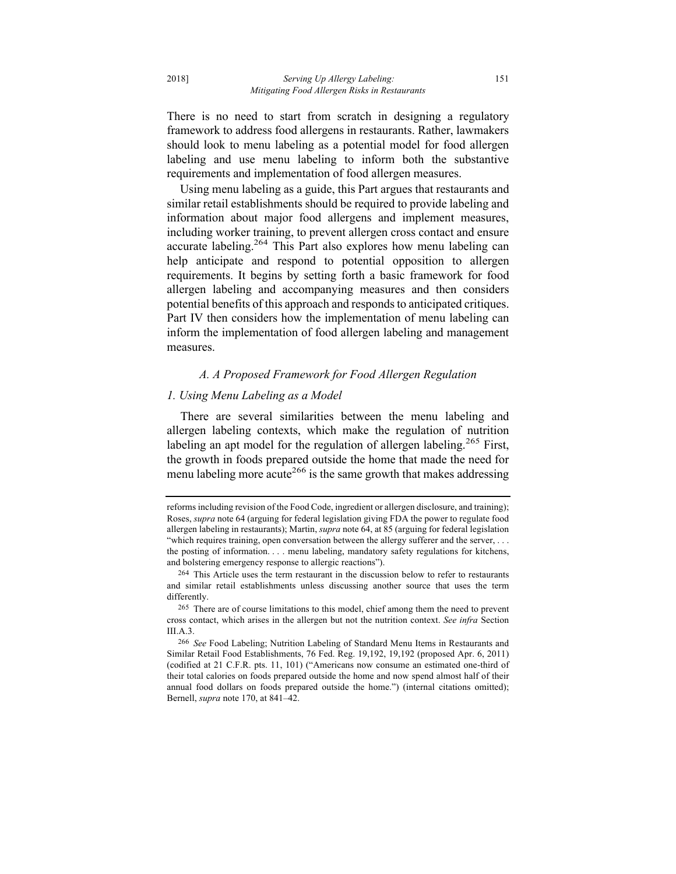There is no need to start from scratch in designing a regulatory framework to address food allergens in restaurants. Rather, lawmakers should look to menu labeling as a potential model for food allergen labeling and use menu labeling to inform both the substantive requirements and implementation of food allergen measures.

Using menu labeling as a guide, this Part argues that restaurants and similar retail establishments should be required to provide labeling and information about major food allergens and implement measures, including worker training, to prevent allergen cross contact and ensure accurate labeling.<sup>264</sup> This Part also explores how menu labeling can help anticipate and respond to potential opposition to allergen requirements. It begins by setting forth a basic framework for food allergen labeling and accompanying measures and then considers potential benefits of this approach and responds to anticipated critiques. Part IV then considers how the implementation of menu labeling can inform the implementation of food allergen labeling and management measures.

#### *A. A Proposed Framework for Food Allergen Regulation*

#### *1. Using Menu Labeling as a Model*

There are several similarities between the menu labeling and allergen labeling contexts, which make the regulation of nutrition labeling an apt model for the regulation of allergen labeling.<sup>265</sup> First, the growth in foods prepared outside the home that made the need for menu labeling more acute<sup>266</sup> is the same growth that makes addressing

reforms including revision of the Food Code, ingredient or allergen disclosure, and training); Roses, *supra* note 64 (arguing for federal legislation giving FDA the power to regulate food allergen labeling in restaurants); Martin, *supra* note 64, at 85 (arguing for federal legislation "which requires training, open conversation between the allergy sufferer and the server, . . . the posting of information. . . . menu labeling, mandatory safety regulations for kitchens, and bolstering emergency response to allergic reactions").

<sup>264</sup> This Article uses the term restaurant in the discussion below to refer to restaurants and similar retail establishments unless discussing another source that uses the term differently.

<sup>265</sup> There are of course limitations to this model, chief among them the need to prevent cross contact, which arises in the allergen but not the nutrition context. *See infra* Section III.A.3.

<sup>266</sup> *See* Food Labeling; Nutrition Labeling of Standard Menu Items in Restaurants and Similar Retail Food Establishments, 76 Fed. Reg. 19,192, 19,192 (proposed Apr. 6, 2011) (codified at 21 C.F.R. pts. 11, 101) ("Americans now consume an estimated one-third of their total calories on foods prepared outside the home and now spend almost half of their annual food dollars on foods prepared outside the home.") (internal citations omitted); Bernell, *supra* note 170, at 841–42.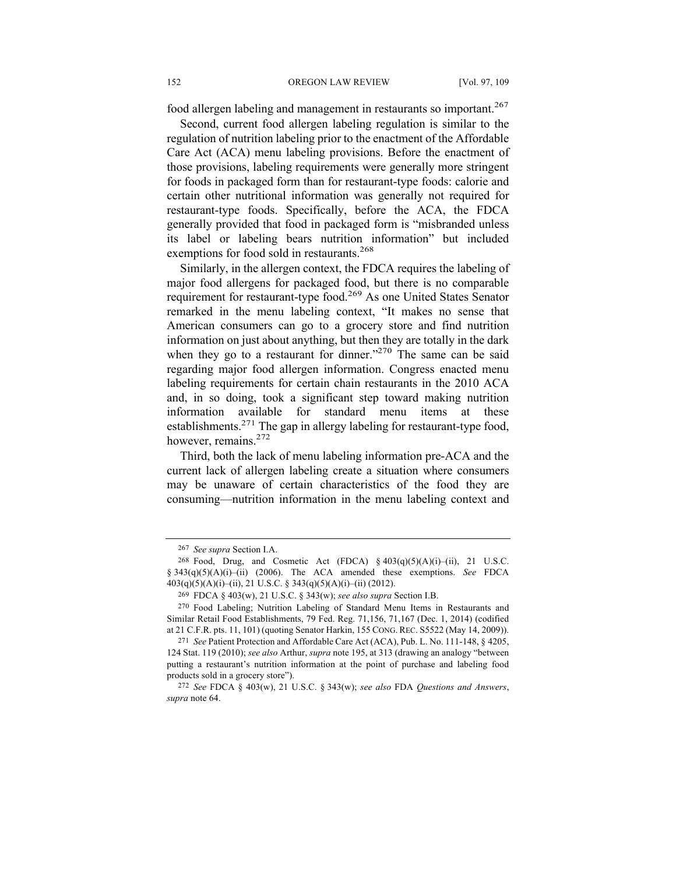food allergen labeling and management in restaurants so important.<sup>267</sup>

Second, current food allergen labeling regulation is similar to the regulation of nutrition labeling prior to the enactment of the Affordable Care Act (ACA) menu labeling provisions. Before the enactment of those provisions, labeling requirements were generally more stringent for foods in packaged form than for restaurant-type foods: calorie and certain other nutritional information was generally not required for restaurant-type foods. Specifically, before the ACA, the FDCA generally provided that food in packaged form is "misbranded unless its label or labeling bears nutrition information" but included exemptions for food sold in restaurants.<sup>268</sup>

Similarly, in the allergen context, the FDCA requires the labeling of major food allergens for packaged food, but there is no comparable requirement for restaurant-type food.269 As one United States Senator remarked in the menu labeling context, "It makes no sense that American consumers can go to a grocery store and find nutrition information on just about anything, but then they are totally in the dark when they go to a restaurant for dinner." $^{270}$  The same can be said regarding major food allergen information. Congress enacted menu labeling requirements for certain chain restaurants in the 2010 ACA and, in so doing, took a significant step toward making nutrition information available for standard menu items at these establishments.<sup>271</sup> The gap in allergy labeling for restaurant-type food, however, remains.272

Third, both the lack of menu labeling information pre-ACA and the current lack of allergen labeling create a situation where consumers may be unaware of certain characteristics of the food they are consuming—nutrition information in the menu labeling context and

<sup>267</sup> *See supra* Section I.A.

<sup>268</sup> Food, Drug, and Cosmetic Act (FDCA) § 403(q)(5)(A)(i)–(ii), 21 U.S.C. § 343(q)(5)(A)(i)–(ii) (2006). The ACA amended these exemptions. *See* FDCA 403(q)(5)(A)(i)–(ii), 21 U.S.C. § 343(q)(5)(A)(i)–(ii) (2012).

<sup>269</sup> FDCA § 403(w), 21 U.S.C. § 343(w); *see also supra* Section I.B.

<sup>270</sup> Food Labeling; Nutrition Labeling of Standard Menu Items in Restaurants and Similar Retail Food Establishments, 79 Fed. Reg. 71,156, 71,167 (Dec. 1, 2014) (codified at 21 C.F.R. pts. 11, 101) (quoting Senator Harkin, 155 CONG. REC. S5522 (May 14, 2009)).

<sup>271</sup> *See* Patient Protection and Affordable Care Act (ACA), Pub. L. No. 111-148, § 4205, 124 Stat. 119 (2010); *see also* Arthur, *supra* note 195, at 313 (drawing an analogy "between putting a restaurant's nutrition information at the point of purchase and labeling food products sold in a grocery store").

<sup>272</sup> *See* FDCA § 403(w), 21 U.S.C. § 343(w); *see also* FDA *Questions and Answers*, *supra* note 64.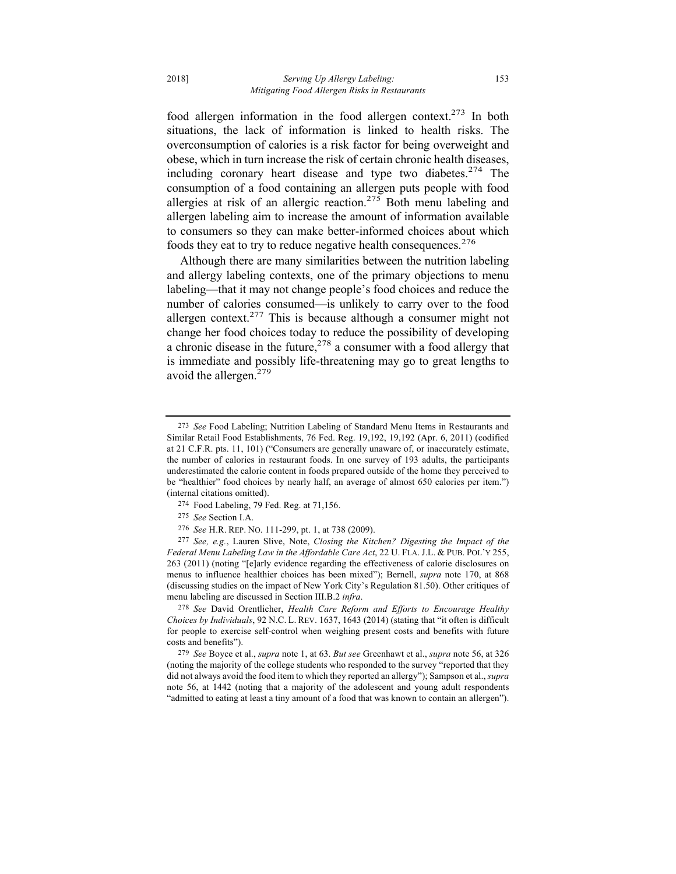food allergen information in the food allergen context.273 In both situations, the lack of information is linked to health risks. The overconsumption of calories is a risk factor for being overweight and obese, which in turn increase the risk of certain chronic health diseases, including coronary heart disease and type two diabetes.<sup>274</sup> The consumption of a food containing an allergen puts people with food allergies at risk of an allergic reaction.<sup>275</sup> Both menu labeling and allergen labeling aim to increase the amount of information available to consumers so they can make better-informed choices about which foods they eat to try to reduce negative health consequences.<sup>276</sup>

Although there are many similarities between the nutrition labeling and allergy labeling contexts, one of the primary objections to menu labeling—that it may not change people's food choices and reduce the number of calories consumed—is unlikely to carry over to the food allergen context.<sup>277</sup> This is because although a consumer might not change her food choices today to reduce the possibility of developing a chronic disease in the future,  $278$  a consumer with a food allergy that is immediate and possibly life-threatening may go to great lengths to avoid the allergen.<sup>279</sup>

- 274 Food Labeling, 79 Fed. Reg. at 71,156.
- 275 *See* Section I.A.
- 276 *See* H.R. REP. NO. 111-299, pt. 1, at 738 (2009).

277 *See, e.g.*, Lauren Slive, Note, *Closing the Kitchen? Digesting the Impact of the Federal Menu Labeling Law in the Affordable Care Act*, 22 U. FLA. J.L. & PUB. POL'Y 255, 263 (2011) (noting "[e]arly evidence regarding the effectiveness of calorie disclosures on menus to influence healthier choices has been mixed"); Bernell, *supra* note 170, at 868 (discussing studies on the impact of New York City's Regulation 81.50). Other critiques of menu labeling are discussed in Section III.B.2 *infra*.

278 *See* David Orentlicher, *Health Care Reform and Efforts to Encourage Healthy Choices by Individuals*, 92 N.C. L. REV. 1637, 1643 (2014) (stating that "it often is difficult for people to exercise self-control when weighing present costs and benefits with future costs and benefits").

279 *See* Boyce et al., *supra* note 1, at 63. *But see* Greenhawt et al., *supra* note 56, at 326 (noting the majority of the college students who responded to the survey "reported that they did not always avoid the food item to which they reported an allergy"); Sampson et al., *supra* note 56, at 1442 (noting that a majority of the adolescent and young adult respondents "admitted to eating at least a tiny amount of a food that was known to contain an allergen").

<sup>273</sup> *See* Food Labeling; Nutrition Labeling of Standard Menu Items in Restaurants and Similar Retail Food Establishments, 76 Fed. Reg. 19,192, 19,192 (Apr. 6, 2011) (codified at 21 C.F.R. pts. 11, 101) ("Consumers are generally unaware of, or inaccurately estimate, the number of calories in restaurant foods. In one survey of 193 adults, the participants underestimated the calorie content in foods prepared outside of the home they perceived to be "healthier" food choices by nearly half, an average of almost 650 calories per item.") (internal citations omitted).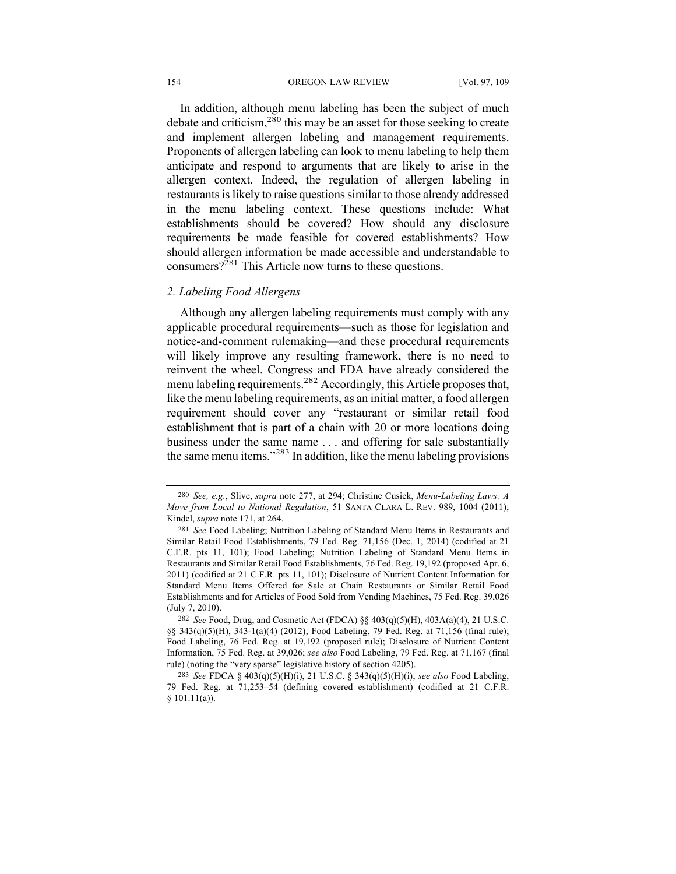#### 154 OREGON LAW REVIEW [Vol. 97, 109]

In addition, although menu labeling has been the subject of much debate and criticism,  $280$  this may be an asset for those seeking to create and implement allergen labeling and management requirements. Proponents of allergen labeling can look to menu labeling to help them anticipate and respond to arguments that are likely to arise in the allergen context. Indeed, the regulation of allergen labeling in restaurants is likely to raise questions similar to those already addressed in the menu labeling context. These questions include: What establishments should be covered? How should any disclosure requirements be made feasible for covered establishments? How should allergen information be made accessible and understandable to consumers? $2^{281}$  This Article now turns to these questions.

## *2. Labeling Food Allergens*

Although any allergen labeling requirements must comply with any applicable procedural requirements—such as those for legislation and notice-and-comment rulemaking—and these procedural requirements will likely improve any resulting framework, there is no need to reinvent the wheel. Congress and FDA have already considered the menu labeling requirements.282 Accordingly, this Article proposes that, like the menu labeling requirements, as an initial matter, a food allergen requirement should cover any "restaurant or similar retail food establishment that is part of a chain with 20 or more locations doing business under the same name . . . and offering for sale substantially the same menu items."<sup>283</sup> In addition, like the menu labeling provisions

<sup>280</sup> *See, e.g.*, Slive, *supra* note 277, at 294; Christine Cusick, *Menu-Labeling Laws: A Move from Local to National Regulation*, 51 SANTA CLARA L. REV. 989, 1004 (2011); Kindel, *supra* note 171, at 264.

<sup>281</sup> *See* Food Labeling; Nutrition Labeling of Standard Menu Items in Restaurants and Similar Retail Food Establishments, 79 Fed. Reg. 71,156 (Dec. 1, 2014) (codified at 21 C.F.R. pts 11, 101); Food Labeling; Nutrition Labeling of Standard Menu Items in Restaurants and Similar Retail Food Establishments, 76 Fed. Reg. 19,192 (proposed Apr. 6, 2011) (codified at 21 C.F.R. pts 11, 101); Disclosure of Nutrient Content Information for Standard Menu Items Offered for Sale at Chain Restaurants or Similar Retail Food Establishments and for Articles of Food Sold from Vending Machines, 75 Fed. Reg. 39,026 (July 7, 2010).

<sup>282</sup> *See* Food, Drug, and Cosmetic Act (FDCA) §§ 403(q)(5)(H), 403A(a)(4), 21 U.S.C. §§ 343(q)(5)(H), 343-1(a)(4) (2012); Food Labeling, 79 Fed. Reg. at 71,156 (final rule); Food Labeling, 76 Fed. Reg. at 19,192 (proposed rule); Disclosure of Nutrient Content Information, 75 Fed. Reg. at 39,026; *see also* Food Labeling, 79 Fed. Reg. at 71,167 (final rule) (noting the "very sparse" legislative history of section 4205).

<sup>283</sup> *See* FDCA § 403(q)(5)(H)(i), 21 U.S.C. § 343(q)(5)(H)(i); *see also* Food Labeling, 79 Fed. Reg. at 71,253–54 (defining covered establishment) (codified at 21 C.F.R. § 101.11(a)).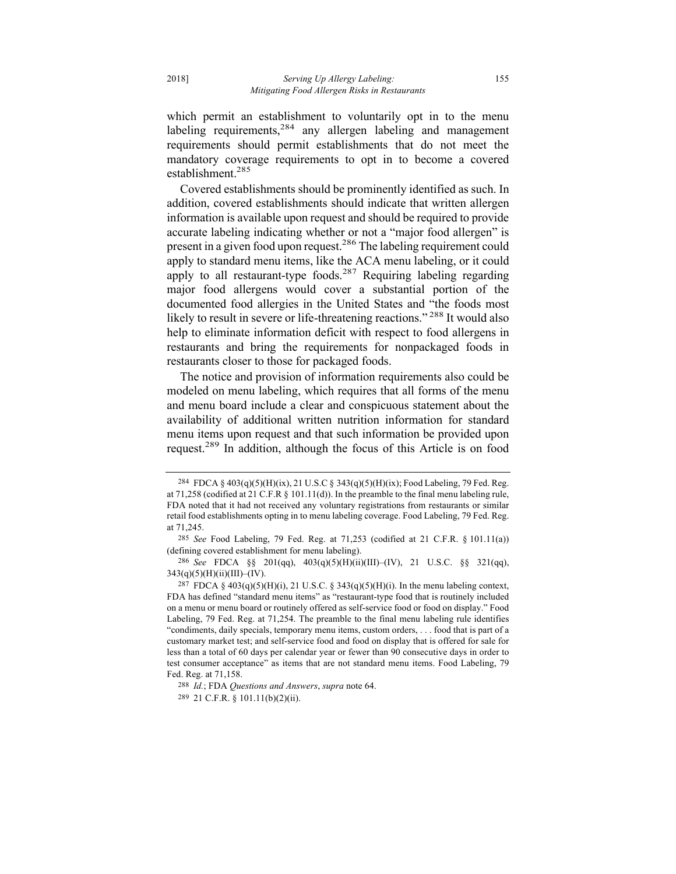which permit an establishment to voluntarily opt in to the menu labeling requirements,  $284$  any allergen labeling and management requirements should permit establishments that do not meet the mandatory coverage requirements to opt in to become a covered establishment.285

Covered establishments should be prominently identified as such. In addition, covered establishments should indicate that written allergen information is available upon request and should be required to provide accurate labeling indicating whether or not a "major food allergen" is present in a given food upon request.286 The labeling requirement could apply to standard menu items, like the ACA menu labeling, or it could apply to all restaurant-type foods.<sup>287</sup> Requiring labeling regarding major food allergens would cover a substantial portion of the documented food allergies in the United States and "the foods most likely to result in severe or life-threatening reactions."<sup>288</sup> It would also help to eliminate information deficit with respect to food allergens in restaurants and bring the requirements for nonpackaged foods in restaurants closer to those for packaged foods.

The notice and provision of information requirements also could be modeled on menu labeling, which requires that all forms of the menu and menu board include a clear and conspicuous statement about the availability of additional written nutrition information for standard menu items upon request and that such information be provided upon request.<sup>289</sup> In addition, although the focus of this Article is on food

<sup>284</sup> FDCA § 403(q)(5)(H)(ix), 21 U.S.C § 343(q)(5)(H)(ix); Food Labeling, 79 Fed. Reg. at 71,258 (codified at 21 C.F.R  $\S$  101.11(d)). In the preamble to the final menu labeling rule, FDA noted that it had not received any voluntary registrations from restaurants or similar retail food establishments opting in to menu labeling coverage. Food Labeling, 79 Fed. Reg. at 71,245.

<sup>285</sup> *See* Food Labeling, 79 Fed. Reg. at 71,253 (codified at 21 C.F.R. § 101.11(a)) (defining covered establishment for menu labeling).

<sup>286</sup> *See* FDCA §§ 201(qq), 403(q)(5)(H)(ii)(III)–(IV), 21 U.S.C. §§ 321(qq),  $343(q)(5)(H)(ii)(III)$ –(IV).

 $^{287}$  FDCA § 403(q)(5)(H)(i), 21 U.S.C. § 343(q)(5)(H)(i). In the menu labeling context, FDA has defined "standard menu items" as "restaurant-type food that is routinely included on a menu or menu board or routinely offered as self-service food or food on display." Food Labeling, 79 Fed. Reg. at 71,254. The preamble to the final menu labeling rule identifies "condiments, daily specials, temporary menu items, custom orders, . . . food that is part of a customary market test; and self-service food and food on display that is offered for sale for less than a total of 60 days per calendar year or fewer than 90 consecutive days in order to test consumer acceptance" as items that are not standard menu items. Food Labeling, 79 Fed. Reg. at 71,158.

<sup>288</sup> *Id.*; FDA *Questions and Answers*, *supra* note 64.

<sup>289</sup> 21 C.F.R. § 101.11(b)(2)(ii).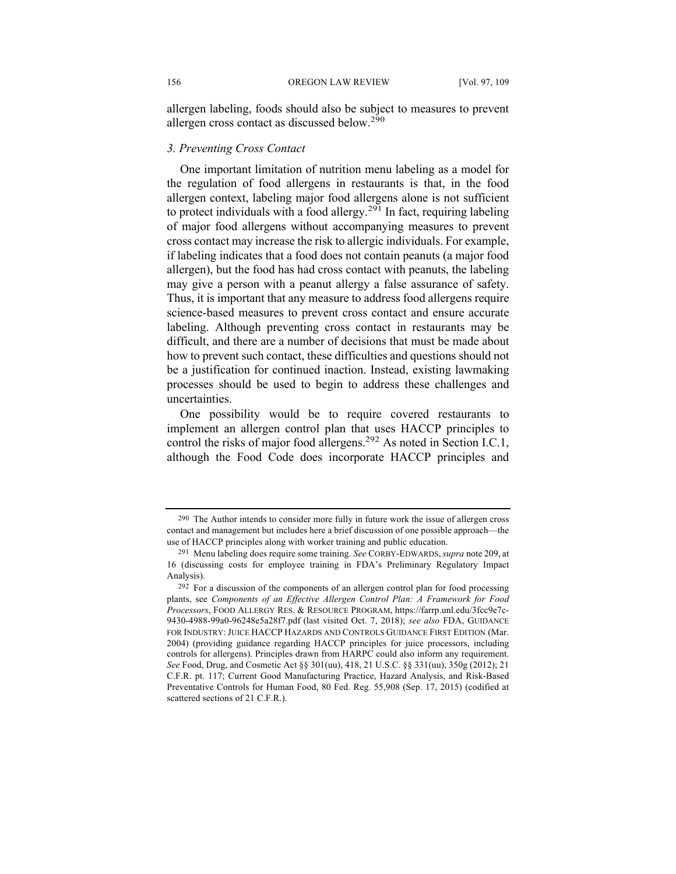allergen labeling, foods should also be subject to measures to prevent allergen cross contact as discussed below.290

## *3. Preventing Cross Contact*

One important limitation of nutrition menu labeling as a model for the regulation of food allergens in restaurants is that, in the food allergen context, labeling major food allergens alone is not sufficient to protect individuals with a food allergy.<sup>291</sup> In fact, requiring labeling of major food allergens without accompanying measures to prevent cross contact may increase the risk to allergic individuals. For example, if labeling indicates that a food does not contain peanuts (a major food allergen), but the food has had cross contact with peanuts, the labeling may give a person with a peanut allergy a false assurance of safety. Thus, it is important that any measure to address food allergens require science-based measures to prevent cross contact and ensure accurate labeling. Although preventing cross contact in restaurants may be difficult, and there are a number of decisions that must be made about how to prevent such contact, these difficulties and questions should not be a justification for continued inaction. Instead, existing lawmaking processes should be used to begin to address these challenges and uncertainties.

One possibility would be to require covered restaurants to implement an allergen control plan that uses HACCP principles to control the risks of major food allergens.<sup>292</sup> As noted in Section I.C.1, although the Food Code does incorporate HACCP principles and

<sup>290</sup> The Author intends to consider more fully in future work the issue of allergen cross contact and management but includes here a brief discussion of one possible approach—the use of HACCP principles along with worker training and public education.

<sup>291</sup> Menu labeling does require some training. *See* CORBY-EDWARDS,*supra* note 209, at 16 (discussing costs for employee training in FDA's Preliminary Regulatory Impact Analysis).

<sup>292</sup> For a discussion of the components of an allergen control plan for food processing plants, see *Components of an Effective Allergen Control Plan: A Framework for Food Processors*, FOOD ALLERGY RES. & RESOURCE PROGRAM, https://farrp.unl.edu/3fcc9e7c-9430-4988-99a0-96248e5a28f7.pdf (last visited Oct. 7, 2018); *see also* FDA, GUIDANCE FOR INDUSTRY: JUICE HACCP HAZARDS AND CONTROLS GUIDANCE FIRST EDITION (Mar. 2004) (providing guidance regarding HACCP principles for juice processors, including controls for allergens). Principles drawn from HARPC could also inform any requirement. *See* Food, Drug, and Cosmetic Act §§ 301(uu), 418, 21 U.S.C. §§ 331(uu), 350g (2012); 21 C.F.R. pt. 117; Current Good Manufacturing Practice, Hazard Analysis, and Risk-Based Preventative Controls for Human Food, 80 Fed. Reg. 55,908 (Sep. 17, 2015) (codified at scattered sections of 21 C.F.R.).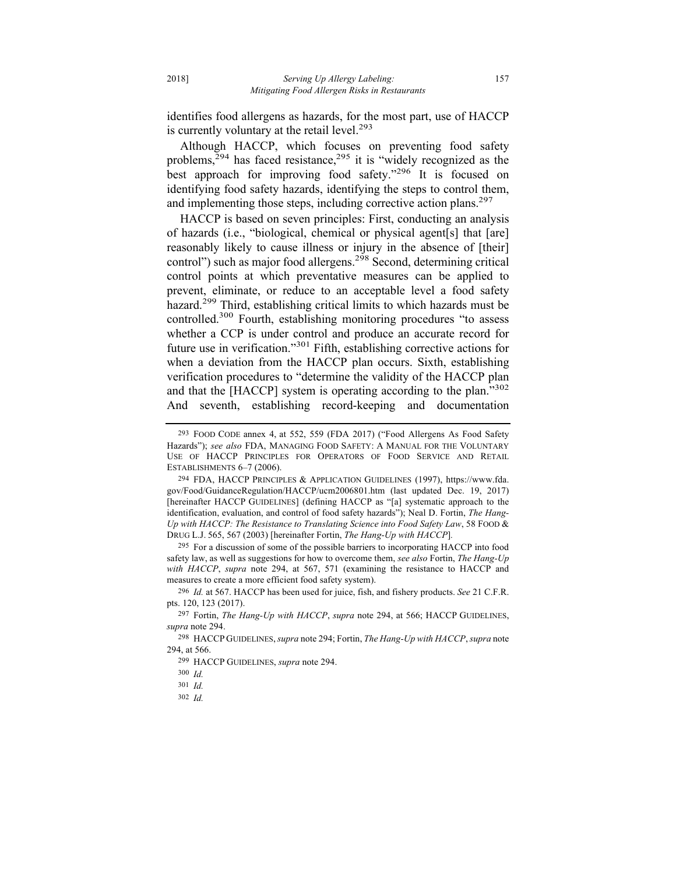identifies food allergens as hazards, for the most part, use of HACCP is currently voluntary at the retail level.<sup>293</sup>

Although HACCP, which focuses on preventing food safety problems, $294$  has faced resistance, $295$  it is "widely recognized as the best approach for improving food safety."<sup>296</sup> It is focused on identifying food safety hazards, identifying the steps to control them, and implementing those steps, including corrective action plans.<sup>297</sup>

HACCP is based on seven principles: First, conducting an analysis of hazards (i.e., "biological, chemical or physical agent[s] that [are] reasonably likely to cause illness or injury in the absence of [their] control") such as major food allergens.<sup>298</sup> Second, determining critical control points at which preventative measures can be applied to prevent, eliminate, or reduce to an acceptable level a food safety hazard.<sup>299</sup> Third, establishing critical limits to which hazards must be controlled.300 Fourth, establishing monitoring procedures "to assess whether a CCP is under control and produce an accurate record for future use in verification."<sup>301</sup> Fifth, establishing corrective actions for when a deviation from the HACCP plan occurs. Sixth, establishing verification procedures to "determine the validity of the HACCP plan and that the [HACCP] system is operating according to the plan."<sup>302</sup> And seventh, establishing record-keeping and documentation

295 For a discussion of some of the possible barriers to incorporating HACCP into food safety law, as well as suggestions for how to overcome them, *see also* Fortin, *The Hang-Up with HACCP*, *supra* note 294, at 567, 571 (examining the resistance to HACCP and measures to create a more efficient food safety system).

296 *Id.* at 567. HACCP has been used for juice, fish, and fishery products. *See* 21 C.F.R. pts. 120, 123 (2017).

<sup>293</sup> FOOD CODE annex 4, at 552, 559 (FDA 2017) ("Food Allergens As Food Safety Hazards"); *see also* FDA, MANAGING FOOD SAFETY: A MANUAL FOR THE VOLUNTARY USE OF HACCP PRINCIPLES FOR OPERATORS OF FOOD SERVICE AND RETAIL ESTABLISHMENTS 6–7 (2006).

<sup>294</sup> FDA, HACCP PRINCIPLES & APPLICATION GUIDELINES (1997), https://www.fda. gov/Food/GuidanceRegulation/HACCP/ucm2006801.htm (last updated Dec. 19, 2017) [hereinafter HACCP GUIDELINES] (defining HACCP as "[a] systematic approach to the identification, evaluation, and control of food safety hazards"); Neal D. Fortin, *The Hang-Up with HACCP: The Resistance to Translating Science into Food Safety Law*, 58 FOOD & DRUG L.J. 565, 567 (2003) [hereinafter Fortin, *The Hang-Up with HACCP*]*.*

<sup>297</sup> Fortin, *The Hang-Up with HACCP*, *supra* note 294, at 566; HACCP GUIDELINES, *supra* note 294.

<sup>298</sup> HACCP GUIDELINES, *supra* note 294; Fortin, *The Hang-Up with HACCP*, *supra* note 294, at 566.

<sup>299</sup> HACCP GUIDELINES, *supra* note 294.

<sup>300</sup> *Id.*

<sup>301</sup> *Id.* 

<sup>302</sup> *Id.*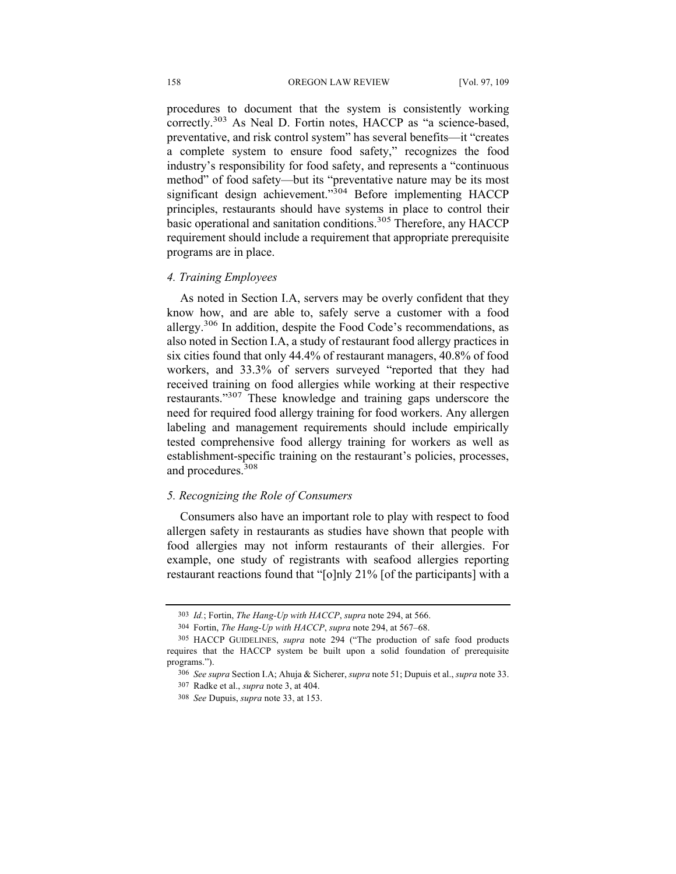#### 158 OREGON LAW REVIEW [Vol. 97, 109

procedures to document that the system is consistently working correctly.<sup>303</sup> As Neal D. Fortin notes, HACCP as "a science-based, preventative, and risk control system" has several benefits—it "creates a complete system to ensure food safety," recognizes the food industry's responsibility for food safety, and represents a "continuous method" of food safety—but its "preventative nature may be its most significant design achievement."<sup>304</sup> Before implementing HACCP principles, restaurants should have systems in place to control their basic operational and sanitation conditions.<sup>305</sup> Therefore, any HACCP requirement should include a requirement that appropriate prerequisite programs are in place.

#### *4. Training Employees*

As noted in Section I.A, servers may be overly confident that they know how, and are able to, safely serve a customer with a food allergy.<sup>306</sup> In addition, despite the Food Code's recommendations, as also noted in Section I.A, a study of restaurant food allergy practices in six cities found that only 44.4% of restaurant managers, 40.8% of food workers, and 33.3% of servers surveyed "reported that they had received training on food allergies while working at their respective restaurants."307 These knowledge and training gaps underscore the need for required food allergy training for food workers. Any allergen labeling and management requirements should include empirically tested comprehensive food allergy training for workers as well as establishment-specific training on the restaurant's policies, processes, and procedures.308

#### *5. Recognizing the Role of Consumers*

Consumers also have an important role to play with respect to food allergen safety in restaurants as studies have shown that people with food allergies may not inform restaurants of their allergies. For example, one study of registrants with seafood allergies reporting restaurant reactions found that "[o]nly 21% [of the participants] with a

<sup>303</sup> *Id.*; Fortin, *The Hang-Up with HACCP*, *supra* note 294, at 566.

<sup>304</sup> Fortin, *The Hang-Up with HACCP*, *supra* note 294, at 567–68.

<sup>305</sup> HACCP GUIDELINES, *supra* note 294 ("The production of safe food products requires that the HACCP system be built upon a solid foundation of prerequisite programs.").

<sup>306</sup> *See supra* Section I.A; Ahuja & Sicherer, *supra* note 51; Dupuis et al., *supra* note 33.

<sup>307</sup> Radke et al., *supra* note 3, at 404.

<sup>308</sup> *See* Dupuis, *supra* note 33, at 153.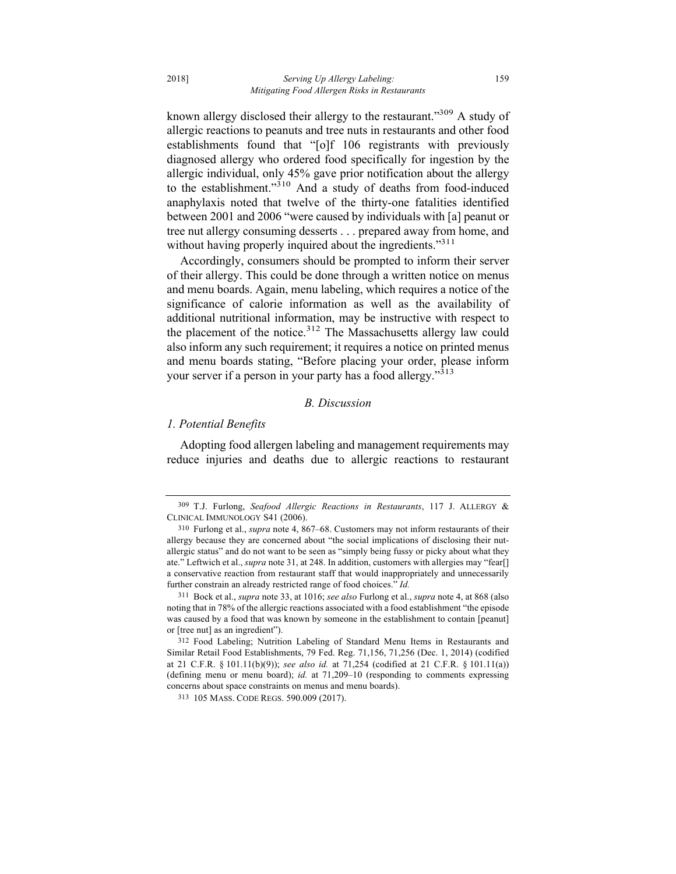known allergy disclosed their allergy to the restaurant."<sup>309</sup> A study of allergic reactions to peanuts and tree nuts in restaurants and other food establishments found that "[o]f 106 registrants with previously diagnosed allergy who ordered food specifically for ingestion by the allergic individual, only 45% gave prior notification about the allergy to the establishment."310 And a study of deaths from food-induced anaphylaxis noted that twelve of the thirty-one fatalities identified between 2001 and 2006 "were caused by individuals with [a] peanut or tree nut allergy consuming desserts . . . prepared away from home, and without having properly inquired about the ingredients."<sup>311</sup>

Accordingly, consumers should be prompted to inform their server of their allergy. This could be done through a written notice on menus and menu boards. Again, menu labeling, which requires a notice of the significance of calorie information as well as the availability of additional nutritional information, may be instructive with respect to the placement of the notice.<sup>312</sup> The Massachusetts allergy law could also inform any such requirement; it requires a notice on printed menus and menu boards stating, "Before placing your order, please inform your server if a person in your party has a food allergy."<sup>313</sup>

#### *B. Discussion*

## *1. Potential Benefits*

Adopting food allergen labeling and management requirements may reduce injuries and deaths due to allergic reactions to restaurant

<sup>309</sup> T.J. Furlong, *Seafood Allergic Reactions in Restaurants*, 117 J. ALLERGY & CLINICAL IMMUNOLOGY S41 (2006).

<sup>310</sup> Furlong et al., *supra* note 4, 867–68. Customers may not inform restaurants of their allergy because they are concerned about "the social implications of disclosing their nutallergic status" and do not want to be seen as "simply being fussy or picky about what they ate." Leftwich et al., *supra* note 31, at 248. In addition, customers with allergies may "fear[] a conservative reaction from restaurant staff that would inappropriately and unnecessarily further constrain an already restricted range of food choices." *Id.* 

<sup>311</sup> Bock et al., *supra* note 33, at 1016; *see also* Furlong et al., *supra* note 4, at 868 (also noting that in 78% of the allergic reactions associated with a food establishment "the episode was caused by a food that was known by someone in the establishment to contain [peanut] or [tree nut] as an ingredient").

<sup>312</sup> Food Labeling; Nutrition Labeling of Standard Menu Items in Restaurants and Similar Retail Food Establishments, 79 Fed. Reg. 71,156, 71,256 (Dec. 1, 2014) (codified at 21 C.F.R. § 101.11(b)(9)); *see also id.* at 71,254 (codified at 21 C.F.R. § 101.11(a)) (defining menu or menu board); *id.* at 71,209–10 (responding to comments expressing concerns about space constraints on menus and menu boards).

<sup>313</sup> 105 MASS. CODE REGS. 590.009 (2017).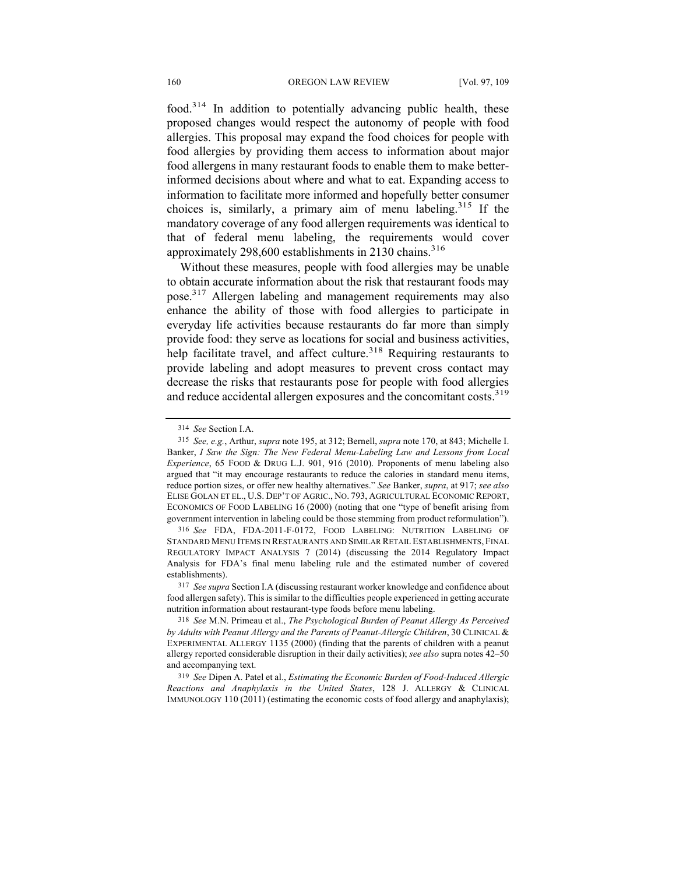food.314 In addition to potentially advancing public health, these proposed changes would respect the autonomy of people with food allergies. This proposal may expand the food choices for people with food allergies by providing them access to information about major food allergens in many restaurant foods to enable them to make betterinformed decisions about where and what to eat. Expanding access to information to facilitate more informed and hopefully better consumer choices is, similarly, a primary aim of menu labeling.<sup>315</sup> If the mandatory coverage of any food allergen requirements was identical to that of federal menu labeling, the requirements would cover approximately 298,600 establishments in 2130 chains.<sup>316</sup>

Without these measures, people with food allergies may be unable to obtain accurate information about the risk that restaurant foods may pose.317 Allergen labeling and management requirements may also enhance the ability of those with food allergies to participate in everyday life activities because restaurants do far more than simply provide food: they serve as locations for social and business activities, help facilitate travel, and affect culture.<sup>318</sup> Requiring restaurants to provide labeling and adopt measures to prevent cross contact may decrease the risks that restaurants pose for people with food allergies and reduce accidental allergen exposures and the concomitant costs.<sup>319</sup>

<sup>314</sup> *See* Section I.A.

<sup>315</sup> *See, e.g.*, Arthur, *supra* note 195, at 312; Bernell, *supra* note 170, at 843; Michelle I. Banker, *I Saw the Sign: The New Federal Menu-Labeling Law and Lessons from Local Experience*, 65 FOOD & DRUG L.J. 901, 916 (2010). Proponents of menu labeling also argued that "it may encourage restaurants to reduce the calories in standard menu items, reduce portion sizes, or offer new healthy alternatives." *See* Banker, *supra*, at 917; *see also*  ELISE GOLAN ET EL., U.S. DEP'T OF AGRIC., NO. 793, AGRICULTURAL ECONOMIC REPORT, ECONOMICS OF FOOD LABELING 16 (2000) (noting that one "type of benefit arising from government intervention in labeling could be those stemming from product reformulation").

<sup>316</sup> *See* FDA, FDA-2011-F-0172, FOOD LABELING: NUTRITION LABELING OF STANDARD MENU ITEMS IN RESTAURANTS AND SIMILAR RETAIL ESTABLISHMENTS, FINAL REGULATORY IMPACT ANALYSIS 7 (2014) (discussing the 2014 Regulatory Impact Analysis for FDA's final menu labeling rule and the estimated number of covered establishments).

<sup>317</sup> *See supra* Section I.A (discussing restaurant worker knowledge and confidence about food allergen safety). This is similar to the difficulties people experienced in getting accurate nutrition information about restaurant-type foods before menu labeling.

<sup>318</sup> *See* M.N. Primeau et al., *The Psychological Burden of Peanut Allergy As Perceived by Adults with Peanut Allergy and the Parents of Peanut-Allergic Children*, 30 CLINICAL & EXPERIMENTAL ALLERGY 1135 (2000) (finding that the parents of children with a peanut allergy reported considerable disruption in their daily activities); *see also* supra notes 42–50 and accompanying text.

<sup>319</sup> *See* Dipen A. Patel et al., *Estimating the Economic Burden of Food-Induced Allergic Reactions and Anaphylaxis in the United States*, 128 J. ALLERGY & CLINICAL IMMUNOLOGY 110 (2011) (estimating the economic costs of food allergy and anaphylaxis);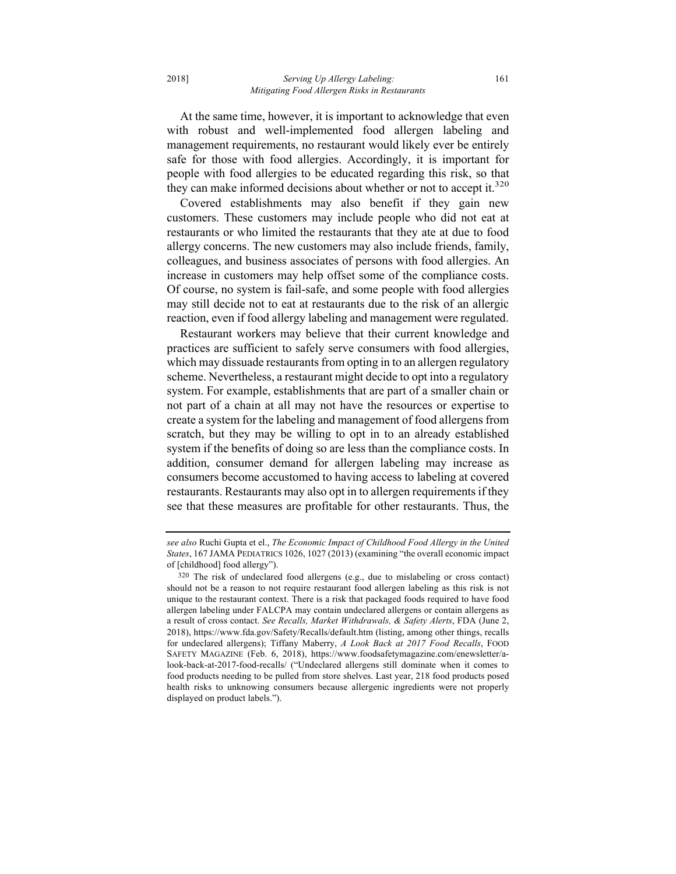At the same time, however, it is important to acknowledge that even with robust and well-implemented food allergen labeling and management requirements, no restaurant would likely ever be entirely safe for those with food allergies. Accordingly, it is important for people with food allergies to be educated regarding this risk, so that they can make informed decisions about whether or not to accept it.<sup>320</sup>

Covered establishments may also benefit if they gain new customers. These customers may include people who did not eat at restaurants or who limited the restaurants that they ate at due to food allergy concerns. The new customers may also include friends, family, colleagues, and business associates of persons with food allergies. An increase in customers may help offset some of the compliance costs. Of course, no system is fail-safe, and some people with food allergies may still decide not to eat at restaurants due to the risk of an allergic reaction, even if food allergy labeling and management were regulated.

Restaurant workers may believe that their current knowledge and practices are sufficient to safely serve consumers with food allergies, which may dissuade restaurants from opting in to an allergen regulatory scheme. Nevertheless, a restaurant might decide to opt into a regulatory system. For example, establishments that are part of a smaller chain or not part of a chain at all may not have the resources or expertise to create a system for the labeling and management of food allergens from scratch, but they may be willing to opt in to an already established system if the benefits of doing so are less than the compliance costs. In addition, consumer demand for allergen labeling may increase as consumers become accustomed to having access to labeling at covered restaurants. Restaurants may also opt in to allergen requirements if they see that these measures are profitable for other restaurants. Thus, the

*see also* Ruchi Gupta et el., *The Economic Impact of Childhood Food Allergy in the United States*, 167 JAMA PEDIATRICS 1026, 1027 (2013) (examining "the overall economic impact of [childhood] food allergy").

<sup>320</sup> The risk of undeclared food allergens (e.g., due to mislabeling or cross contact) should not be a reason to not require restaurant food allergen labeling as this risk is not unique to the restaurant context. There is a risk that packaged foods required to have food allergen labeling under FALCPA may contain undeclared allergens or contain allergens as a result of cross contact. *See Recalls, Market Withdrawals, & Safety Alerts*, FDA (June 2, 2018), https://www.fda.gov/Safety/Recalls/default.htm (listing, among other things, recalls for undeclared allergens); Tiffany Maberry, *A Look Back at 2017 Food Recalls*, FOOD SAFETY MAGAZINE (Feb. 6, 2018), https://www.foodsafetymagazine.com/enewsletter/alook-back-at-2017-food-recalls/ ("Undeclared allergens still dominate when it comes to food products needing to be pulled from store shelves. Last year, 218 food products posed health risks to unknowing consumers because allergenic ingredients were not properly displayed on product labels.").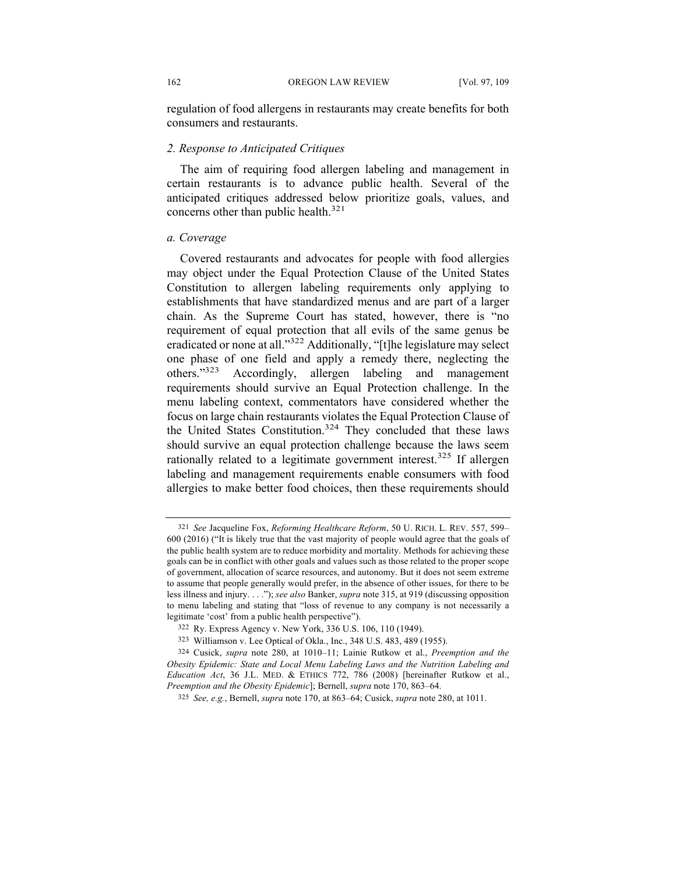regulation of food allergens in restaurants may create benefits for both consumers and restaurants.

## *2. Response to Anticipated Critiques*

The aim of requiring food allergen labeling and management in certain restaurants is to advance public health. Several of the anticipated critiques addressed below prioritize goals, values, and concerns other than public health.<sup>321</sup>

#### *a. Coverage*

Covered restaurants and advocates for people with food allergies may object under the Equal Protection Clause of the United States Constitution to allergen labeling requirements only applying to establishments that have standardized menus and are part of a larger chain. As the Supreme Court has stated, however, there is "no requirement of equal protection that all evils of the same genus be eradicated or none at all."322 Additionally, "[t]he legislature may select one phase of one field and apply a remedy there, neglecting the others."<sup>323</sup> Accordingly, allergen labeling and management requirements should survive an Equal Protection challenge. In the menu labeling context, commentators have considered whether the focus on large chain restaurants violates the Equal Protection Clause of the United States Constitution. <sup>324</sup> They concluded that these laws should survive an equal protection challenge because the laws seem rationally related to a legitimate government interest.<sup>325</sup> If allergen labeling and management requirements enable consumers with food allergies to make better food choices, then these requirements should

<sup>321</sup> *See* Jacqueline Fox, *Reforming Healthcare Reform*, 50 U. RICH. L. REV. 557, 599– 600 (2016) ("It is likely true that the vast majority of people would agree that the goals of the public health system are to reduce morbidity and mortality. Methods for achieving these goals can be in conflict with other goals and values such as those related to the proper scope of government, allocation of scarce resources, and autonomy. But it does not seem extreme to assume that people generally would prefer, in the absence of other issues, for there to be less illness and injury. . . ."); *see also* Banker, *supra* note 315, at 919 (discussing opposition to menu labeling and stating that "loss of revenue to any company is not necessarily a legitimate 'cost' from a public health perspective").

<sup>322</sup> Ry. Express Agency v. New York, 336 U.S. 106, 110 (1949).

<sup>323</sup> Williamson v. Lee Optical of Okla., Inc., 348 U.S. 483, 489 (1955).

<sup>324</sup> Cusick, *supra* note 280, at 1010–11; Lainie Rutkow et al., *Preemption and the Obesity Epidemic: State and Local Menu Labeling Laws and the Nutrition Labeling and Education Act*, 36 J.L. MED. & ETHICS 772, 786 (2008) [hereinafter Rutkow et al., *Preemption and the Obesity Epidemic*]; Bernell, *supra* note 170, 863–64.

<sup>325</sup> *See, e.g.*, Bernell, *supra* note 170, at 863–64; Cusick, *supra* note 280, at 1011.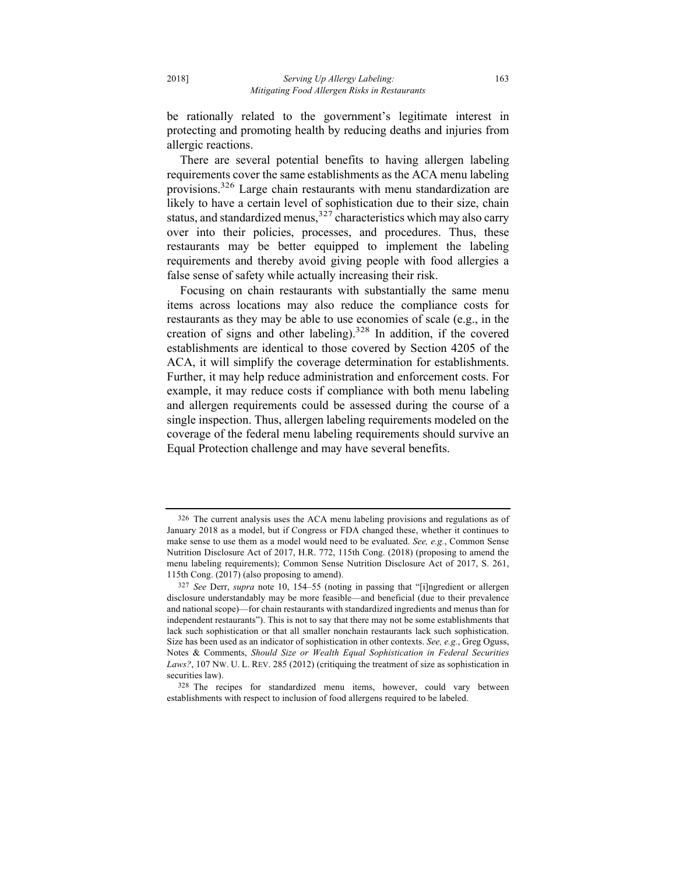be rationally related to the government's legitimate interest in protecting and promoting health by reducing deaths and injuries from allergic reactions.

There are several potential benefits to having allergen labeling requirements cover the same establishments as the ACA menu labeling provisions.326 Large chain restaurants with menu standardization are likely to have a certain level of sophistication due to their size, chain status, and standardized menus,  $327$  characteristics which may also carry over into their policies, processes, and procedures. Thus, these restaurants may be better equipped to implement the labeling requirements and thereby avoid giving people with food allergies a false sense of safety while actually increasing their risk.

Focusing on chain restaurants with substantially the same menu items across locations may also reduce the compliance costs for restaurants as they may be able to use economies of scale (e.g., in the creation of signs and other labeling).<sup>328</sup> In addition, if the covered establishments are identical to those covered by Section 4205 of the ACA, it will simplify the coverage determination for establishments. Further, it may help reduce administration and enforcement costs. For example, it may reduce costs if compliance with both menu labeling and allergen requirements could be assessed during the course of a single inspection. Thus, allergen labeling requirements modeled on the coverage of the federal menu labeling requirements should survive an Equal Protection challenge and may have several benefits.

<sup>326</sup> The current analysis uses the ACA menu labeling provisions and regulations as of January 2018 as a model, but if Congress or FDA changed these, whether it continues to make sense to use them as a model would need to be evaluated. *See, e.g.*, Common Sense Nutrition Disclosure Act of 2017, H.R. 772, 115th Cong. (2018) (proposing to amend the menu labeling requirements); Common Sense Nutrition Disclosure Act of 2017, S. 261, 115th Cong. (2017) (also proposing to amend).

<sup>327</sup> *See* Derr, *supra* note 10, 154–55 (noting in passing that "[i]ngredient or allergen disclosure understandably may be more feasible—and beneficial (due to their prevalence and national scope)—for chain restaurants with standardized ingredients and menus than for independent restaurants"). This is not to say that there may not be some establishments that lack such sophistication or that all smaller nonchain restaurants lack such sophistication. Size has been used as an indicator of sophistication in other contexts. *See, e.g.*, Greg Oguss, Notes & Comments, *Should Size or Wealth Equal Sophistication in Federal Securities Laws?*, 107 NW. U. L. REV. 285 (2012) (critiquing the treatment of size as sophistication in securities law).

<sup>328</sup> The recipes for standardized menu items, however, could vary between establishments with respect to inclusion of food allergens required to be labeled.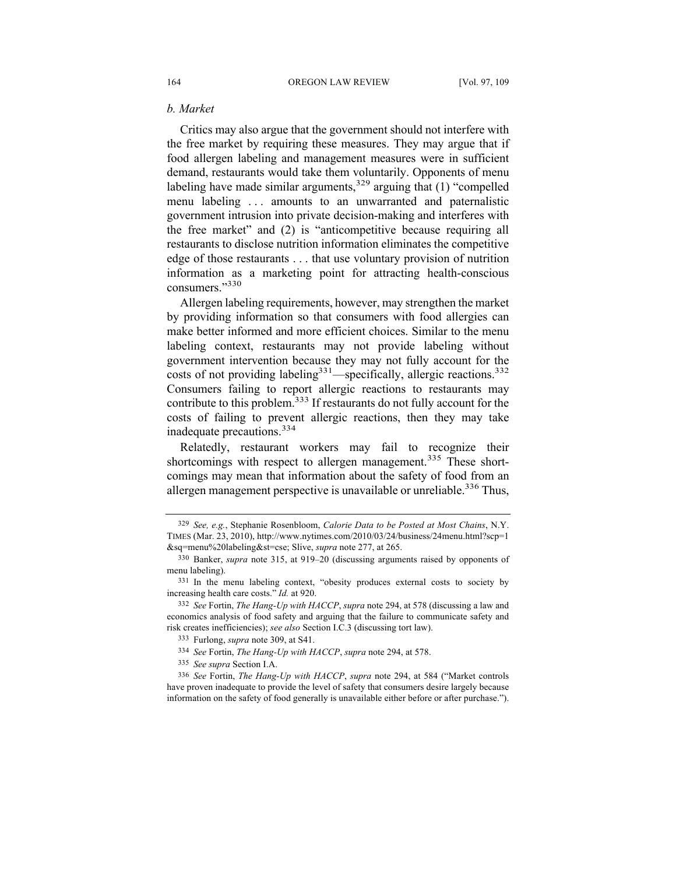## *b. Market*

Critics may also argue that the government should not interfere with the free market by requiring these measures. They may argue that if food allergen labeling and management measures were in sufficient demand, restaurants would take them voluntarily. Opponents of menu labeling have made similar arguments,  $329$  arguing that (1) "compelled menu labeling . . . amounts to an unwarranted and paternalistic government intrusion into private decision-making and interferes with the free market" and (2) is "anticompetitive because requiring all restaurants to disclose nutrition information eliminates the competitive edge of those restaurants . . . that use voluntary provision of nutrition information as a marketing point for attracting health-conscious consumers."<sup>330</sup>

Allergen labeling requirements, however, may strengthen the market by providing information so that consumers with food allergies can make better informed and more efficient choices. Similar to the menu labeling context, restaurants may not provide labeling without government intervention because they may not fully account for the costs of not providing labeling<sup>331</sup>—specifically, allergic reactions.<sup>332</sup> Consumers failing to report allergic reactions to restaurants may contribute to this problem.<sup>333</sup> If restaurants do not fully account for the costs of failing to prevent allergic reactions, then they may take inadequate precautions. 334

Relatedly, restaurant workers may fail to recognize their shortcomings with respect to allergen management.<sup>335</sup> These shortcomings may mean that information about the safety of food from an allergen management perspective is unavailable or unreliable.<sup>336</sup> Thus,

<sup>329</sup> *See, e.g.*, Stephanie Rosenbloom, *Calorie Data to be Posted at Most Chains*, N.Y. TIMES (Mar. 23, 2010), http://www.nytimes.com/2010/03/24/business/24menu.html?scp=1 &sq=menu%20labeling&st=cse; Slive, *supra* note 277, at 265.

<sup>330</sup> Banker, *supra* note 315, at 919–20 (discussing arguments raised by opponents of menu labeling).

<sup>331</sup> In the menu labeling context, "obesity produces external costs to society by increasing health care costs." *Id.* at 920.

<sup>332</sup> *See* Fortin, *The Hang-Up with HACCP*, *supra* note 294, at 578 (discussing a law and economics analysis of food safety and arguing that the failure to communicate safety and risk creates inefficiencies); *see also* Section I.C.3 (discussing tort law).

<sup>333</sup> Furlong, *supra* note 309, at S41.

<sup>334</sup> *See* Fortin, *The Hang-Up with HACCP*, *supra* note 294, at 578.

<sup>335</sup> *See supra* Section I.A.

<sup>336</sup> *See* Fortin, *The Hang-Up with HACCP*, *supra* note 294, at 584 ("Market controls have proven inadequate to provide the level of safety that consumers desire largely because information on the safety of food generally is unavailable either before or after purchase.").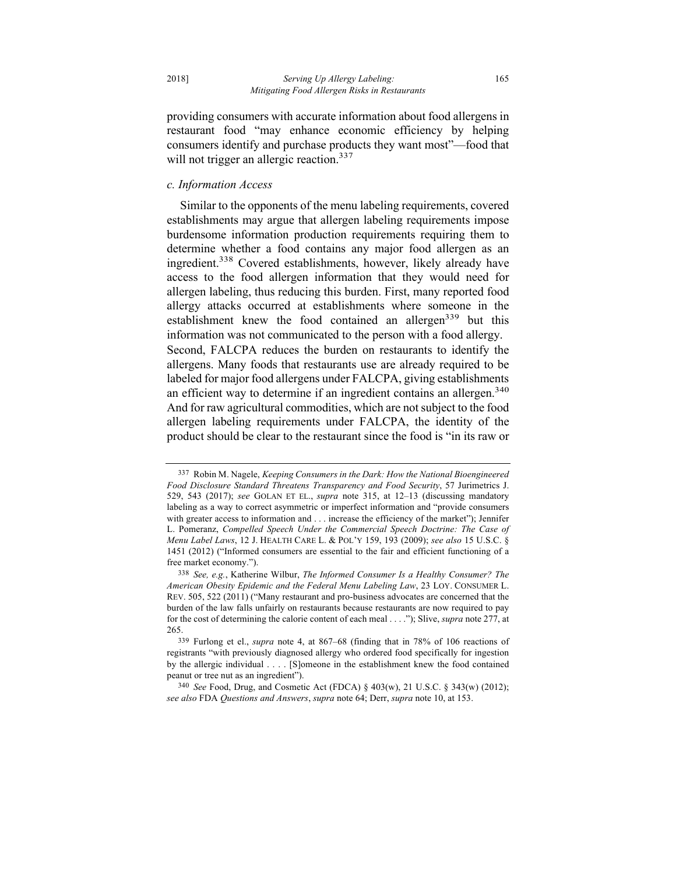providing consumers with accurate information about food allergens in restaurant food "may enhance economic efficiency by helping consumers identify and purchase products they want most"—food that will not trigger an allergic reaction.<sup>337</sup>

#### *c. Information Access*

Similar to the opponents of the menu labeling requirements, covered establishments may argue that allergen labeling requirements impose burdensome information production requirements requiring them to determine whether a food contains any major food allergen as an ingredient.<sup>338</sup> Covered establishments, however, likely already have access to the food allergen information that they would need for allergen labeling, thus reducing this burden. First, many reported food allergy attacks occurred at establishments where someone in the establishment knew the food contained an allergen<sup>339</sup> but this information was not communicated to the person with a food allergy. Second, FALCPA reduces the burden on restaurants to identify the allergens. Many foods that restaurants use are already required to be labeled for major food allergens under FALCPA, giving establishments an efficient way to determine if an ingredient contains an allergen.<sup>340</sup> And for raw agricultural commodities, which are not subject to the food allergen labeling requirements under FALCPA, the identity of the

product should be clear to the restaurant since the food is "in its raw or

<sup>337</sup> Robin M. Nagele, *Keeping Consumers in the Dark: How the National Bioengineered Food Disclosure Standard Threatens Transparency and Food Security*, 57 Jurimetrics J. 529, 543 (2017); *see* GOLAN ET EL., *supra* note 315, at 12–13 (discussing mandatory labeling as a way to correct asymmetric or imperfect information and "provide consumers with greater access to information and . . . increase the efficiency of the market"); Jennifer L. Pomeranz, *Compelled Speech Under the Commercial Speech Doctrine: The Case of Menu Label Laws*, 12 J. HEALTH CARE L. & POL'Y 159, 193 (2009); *see also* 15 U.S.C. § 1451 (2012) ("Informed consumers are essential to the fair and efficient functioning of a free market economy.").

<sup>338</sup> *See, e.g.*, Katherine Wilbur, *The Informed Consumer Is a Healthy Consumer? The American Obesity Epidemic and the Federal Menu Labeling Law*, 23 LOY. CONSUMER L. REV. 505, 522 (2011) ("Many restaurant and pro-business advocates are concerned that the burden of the law falls unfairly on restaurants because restaurants are now required to pay for the cost of determining the calorie content of each meal . . . ."); Slive, *supra* note 277, at 265.

<sup>339</sup> Furlong et el., *supra* note 4, at 867–68 (finding that in 78% of 106 reactions of registrants "with previously diagnosed allergy who ordered food specifically for ingestion by the allergic individual . . . . [S]omeone in the establishment knew the food contained peanut or tree nut as an ingredient").

<sup>340</sup> *See* Food, Drug, and Cosmetic Act (FDCA) § 403(w), 21 U.S.C. § 343(w) (2012); *see also* FDA *Questions and Answers*, *supra* note 64; Derr, *supra* note 10, at 153.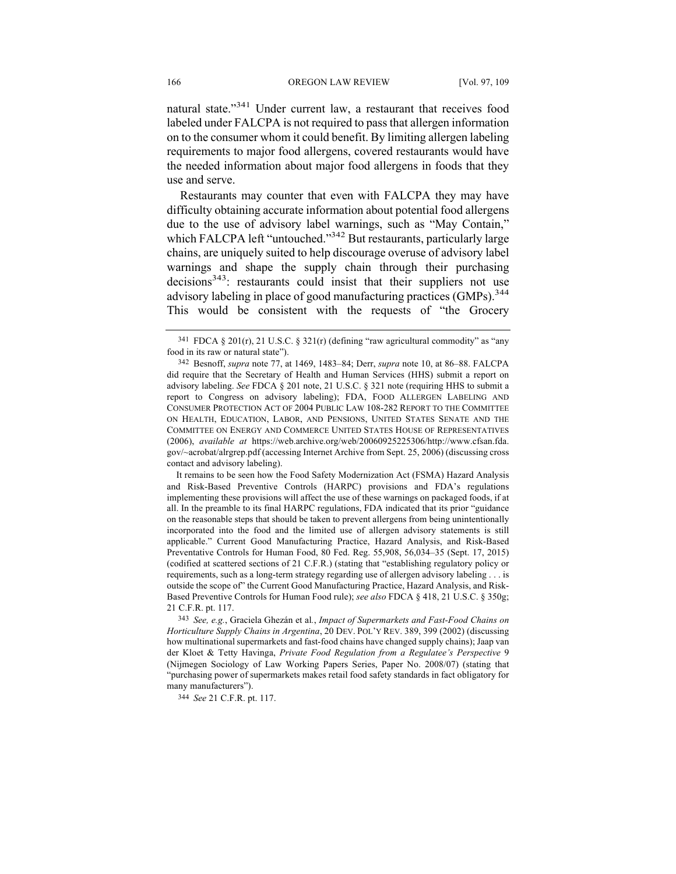natural state."<sup>341</sup> Under current law, a restaurant that receives food labeled under FALCPA is not required to pass that allergen information on to the consumer whom it could benefit. By limiting allergen labeling requirements to major food allergens, covered restaurants would have the needed information about major food allergens in foods that they use and serve.

Restaurants may counter that even with FALCPA they may have difficulty obtaining accurate information about potential food allergens due to the use of advisory label warnings, such as "May Contain," which FALCPA left "untouched."<sup>342</sup> But restaurants, particularly large chains, are uniquely suited to help discourage overuse of advisory label warnings and shape the supply chain through their purchasing decisions<sup>343</sup>: restaurants could insist that their suppliers not use advisory labeling in place of good manufacturing practices (GMPs).<sup>344</sup> This would be consistent with the requests of "the Grocery

It remains to be seen how the Food Safety Modernization Act (FSMA) Hazard Analysis and Risk-Based Preventive Controls (HARPC) provisions and FDA's regulations implementing these provisions will affect the use of these warnings on packaged foods, if at all. In the preamble to its final HARPC regulations, FDA indicated that its prior "guidance on the reasonable steps that should be taken to prevent allergens from being unintentionally incorporated into the food and the limited use of allergen advisory statements is still applicable." Current Good Manufacturing Practice, Hazard Analysis, and Risk-Based Preventative Controls for Human Food, 80 Fed. Reg. 55,908, 56,034–35 (Sept. 17, 2015) (codified at scattered sections of 21 C.F.R.) (stating that "establishing regulatory policy or requirements, such as a long-term strategy regarding use of allergen advisory labeling . . . is outside the scope of" the Current Good Manufacturing Practice, Hazard Analysis, and Risk-Based Preventive Controls for Human Food rule); *see also* FDCA § 418, 21 U.S.C. § 350g; 21 C.F.R. pt. 117.

343 *See, e.g.*, Graciela Ghezán et al*.*, *Impact of Supermarkets and Fast-Food Chains on Horticulture Supply Chains in Argentina*, 20 DEV. POL'Y REV. 389, 399 (2002) (discussing how multinational supermarkets and fast-food chains have changed supply chains); Jaap van der Kloet & Tetty Havinga, *Private Food Regulation from a Regulatee's Perspective* 9 (Nijmegen Sociology of Law Working Papers Series, Paper No. 2008/07) (stating that "purchasing power of supermarkets makes retail food safety standards in fact obligatory for many manufacturers").

344 *See* 21 C.F.R. pt. 117.

 $341$  FDCA § 201(r), 21 U.S.C. § 321(r) (defining "raw agricultural commodity" as "any food in its raw or natural state").

<sup>342</sup> Besnoff, *supra* note 77, at 1469, 1483–84; Derr, *supra* note 10, at 86–88. FALCPA did require that the Secretary of Health and Human Services (HHS) submit a report on advisory labeling. *See* FDCA § 201 note, 21 U.S.C. § 321 note (requiring HHS to submit a report to Congress on advisory labeling); FDA, FOOD ALLERGEN LABELING AND CONSUMER PROTECTION ACT OF 2004 PUBLIC LAW 108-282 REPORT TO THE COMMITTEE ON HEALTH, EDUCATION, LABOR, AND PENSIONS, UNITED STATES SENATE AND THE COMMITTEE ON ENERGY AND COMMERCE UNITED STATES HOUSE OF REPRESENTATIVES (2006), *available at* https://web.archive.org/web/20060925225306/http://www.cfsan.fda. gov/~acrobat/alrgrep.pdf (accessing Internet Archive from Sept. 25, 2006) (discussing cross contact and advisory labeling).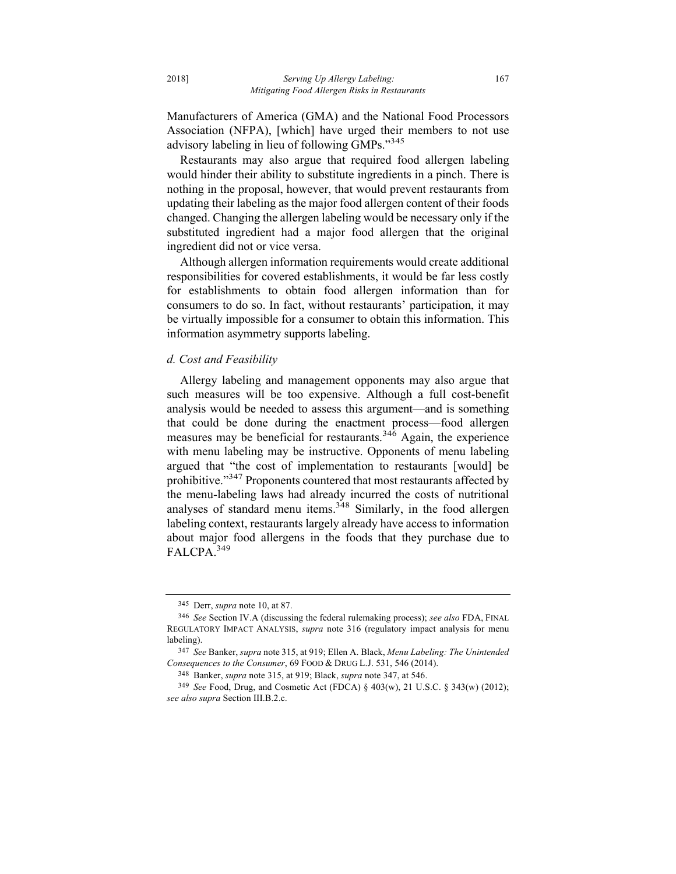Manufacturers of America (GMA) and the National Food Processors Association (NFPA), [which] have urged their members to not use advisory labeling in lieu of following GMPs."345

Restaurants may also argue that required food allergen labeling would hinder their ability to substitute ingredients in a pinch. There is nothing in the proposal, however, that would prevent restaurants from updating their labeling as the major food allergen content of their foods changed. Changing the allergen labeling would be necessary only if the substituted ingredient had a major food allergen that the original ingredient did not or vice versa.

Although allergen information requirements would create additional responsibilities for covered establishments, it would be far less costly for establishments to obtain food allergen information than for consumers to do so. In fact, without restaurants' participation, it may be virtually impossible for a consumer to obtain this information. This information asymmetry supports labeling.

## *d. Cost and Feasibility*

Allergy labeling and management opponents may also argue that such measures will be too expensive. Although a full cost-benefit analysis would be needed to assess this argument—and is something that could be done during the enactment process—food allergen measures may be beneficial for restaurants.<sup>346</sup> Again, the experience with menu labeling may be instructive. Opponents of menu labeling argued that "the cost of implementation to restaurants [would] be prohibitive."347 Proponents countered that most restaurants affected by the menu-labeling laws had already incurred the costs of nutritional analyses of standard menu items.<sup>348</sup> Similarly, in the food allergen labeling context, restaurants largely already have access to information about major food allergens in the foods that they purchase due to FALCPA.<sup>349</sup>

<sup>345</sup> Derr, *supra* note 10, at 87.

<sup>346</sup> *See* Section IV.A (discussing the federal rulemaking process); *see also* FDA, FINAL REGULATORY IMPACT ANALYSIS, *supra* note 316 (regulatory impact analysis for menu labeling).

<sup>347</sup> *See* Banker, *supra* note 315, at 919; Ellen A. Black, *Menu Labeling: The Unintended Consequences to the Consumer*, 69 FOOD & DRUG L.J. 531, 546 (2014).

<sup>348</sup> Banker, *supra* note 315, at 919; Black, *supra* note 347, at 546.

<sup>349</sup> *See* Food, Drug, and Cosmetic Act (FDCA) § 403(w), 21 U.S.C. § 343(w) (2012); *see also supra* Section III.B.2.c.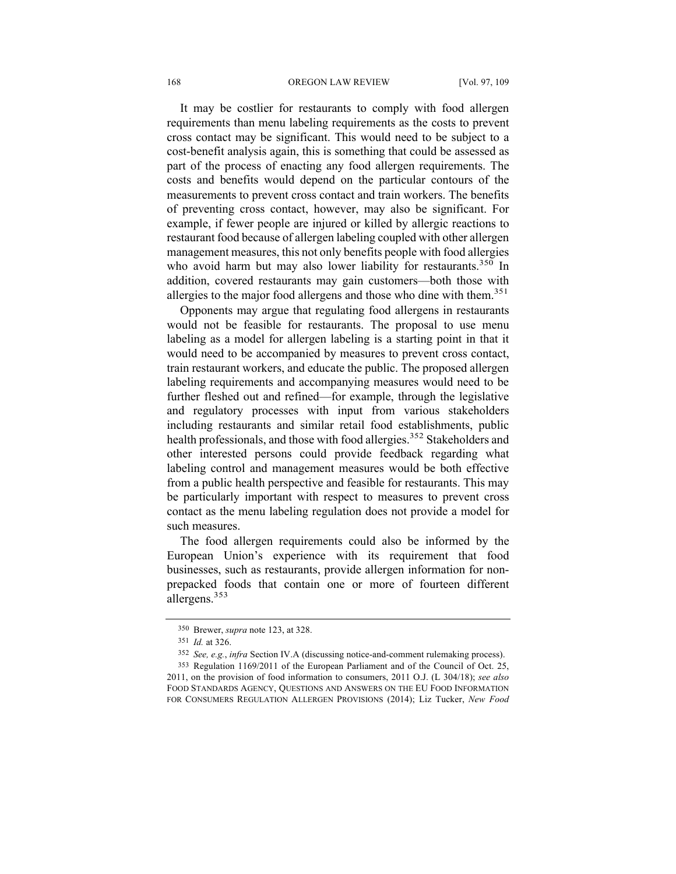#### 168 OREGON LAW REVIEW [Vol. 97, 109]

It may be costlier for restaurants to comply with food allergen requirements than menu labeling requirements as the costs to prevent cross contact may be significant. This would need to be subject to a cost-benefit analysis again, this is something that could be assessed as part of the process of enacting any food allergen requirements. The costs and benefits would depend on the particular contours of the measurements to prevent cross contact and train workers. The benefits of preventing cross contact, however, may also be significant. For example, if fewer people are injured or killed by allergic reactions to restaurant food because of allergen labeling coupled with other allergen management measures, this not only benefits people with food allergies who avoid harm but may also lower liability for restaurants.<sup>350</sup> In addition, covered restaurants may gain customers—both those with allergies to the major food allergens and those who dine with them. $351$ 

Opponents may argue that regulating food allergens in restaurants would not be feasible for restaurants. The proposal to use menu labeling as a model for allergen labeling is a starting point in that it would need to be accompanied by measures to prevent cross contact, train restaurant workers, and educate the public. The proposed allergen labeling requirements and accompanying measures would need to be further fleshed out and refined—for example, through the legislative and regulatory processes with input from various stakeholders including restaurants and similar retail food establishments, public health professionals, and those with food allergies.<sup>352</sup> Stakeholders and other interested persons could provide feedback regarding what labeling control and management measures would be both effective from a public health perspective and feasible for restaurants. This may be particularly important with respect to measures to prevent cross contact as the menu labeling regulation does not provide a model for such measures.

The food allergen requirements could also be informed by the European Union's experience with its requirement that food businesses, such as restaurants, provide allergen information for nonprepacked foods that contain one or more of fourteen different allergens.353

<sup>350</sup> Brewer, *supra* note 123, at 328.

<sup>351</sup> *Id.* at 326.

<sup>352</sup> *See, e.g.*, *infra* Section IV.A (discussing notice-and-comment rulemaking process).

<sup>353</sup> Regulation 1169/2011 of the European Parliament and of the Council of Oct. 25, 2011, on the provision of food information to consumers, 2011 O.J. (L 304/18); *see also*  FOOD STANDARDS AGENCY, QUESTIONS AND ANSWERS ON THE EU FOOD INFORMATION FOR CONSUMERS REGULATION ALLERGEN PROVISIONS (2014); Liz Tucker, *New Food*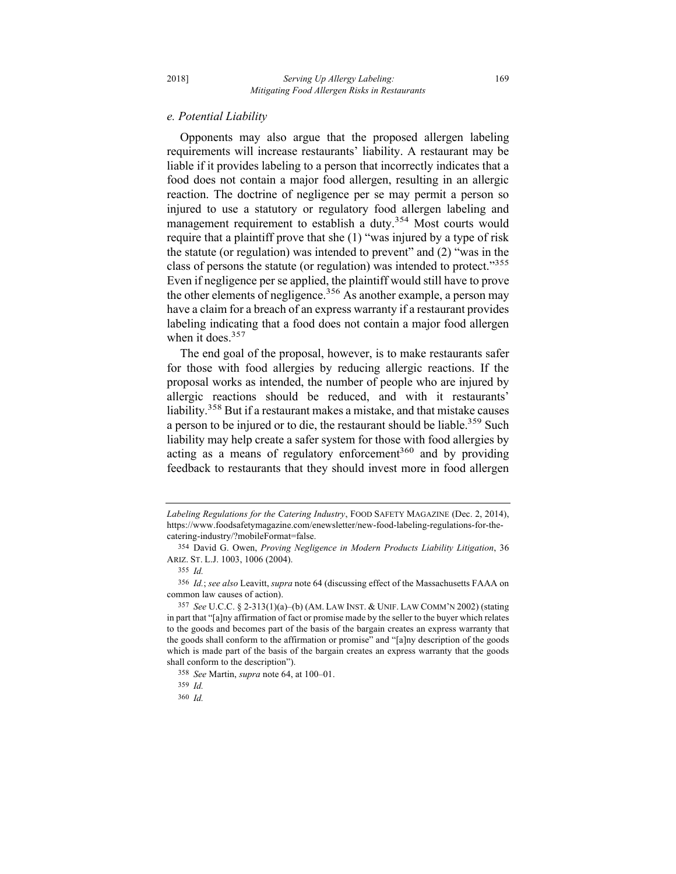## *e. Potential Liability*

Opponents may also argue that the proposed allergen labeling requirements will increase restaurants' liability. A restaurant may be liable if it provides labeling to a person that incorrectly indicates that a food does not contain a major food allergen, resulting in an allergic reaction. The doctrine of negligence per se may permit a person so injured to use a statutory or regulatory food allergen labeling and management requirement to establish a duty.<sup>354</sup> Most courts would require that a plaintiff prove that she (1) "was injured by a type of risk the statute (or regulation) was intended to prevent" and (2) "was in the class of persons the statute (or regulation) was intended to protect."355 Even if negligence per se applied, the plaintiff would still have to prove the other elements of negligence.<sup>356</sup> As another example, a person may have a claim for a breach of an express warranty if a restaurant provides labeling indicating that a food does not contain a major food allergen when it does.<sup>357</sup>

The end goal of the proposal, however, is to make restaurants safer for those with food allergies by reducing allergic reactions. If the proposal works as intended, the number of people who are injured by allergic reactions should be reduced, and with it restaurants' liability.<sup>358</sup> But if a restaurant makes a mistake, and that mistake causes a person to be injured or to die, the restaurant should be liable.<sup>359</sup> Such liability may help create a safer system for those with food allergies by acting as a means of regulatory enforcement<sup>360</sup> and by providing feedback to restaurants that they should invest more in food allergen

*Labeling Regulations for the Catering Industry*, FOOD SAFETY MAGAZINE (Dec. 2, 2014), https://www.foodsafetymagazine.com/enewsletter/new-food-labeling-regulations-for-thecatering-industry/?mobileFormat=false.

<sup>354</sup> David G. Owen, *Proving Negligence in Modern Products Liability Litigation*, 36 ARIZ. ST. L.J. 1003, 1006 (2004).

<sup>355</sup> *Id.* 

<sup>356</sup> *Id.*; *see also* Leavitt, *supra* note 64 (discussing effect of the Massachusetts FAAA on common law causes of action).

<sup>357</sup> *See* U.C.C. § 2-313(1)(a)–(b) (AM. LAW INST. & UNIF. LAW COMM'N 2002) (stating in part that "[a]ny affirmation of fact or promise made by the seller to the buyer which relates to the goods and becomes part of the basis of the bargain creates an express warranty that the goods shall conform to the affirmation or promise" and "[a]ny description of the goods which is made part of the basis of the bargain creates an express warranty that the goods shall conform to the description").

<sup>358</sup> *See* Martin, *supra* note 64, at 100–01.

<sup>359</sup> *Id.* 

<sup>360</sup> *Id.*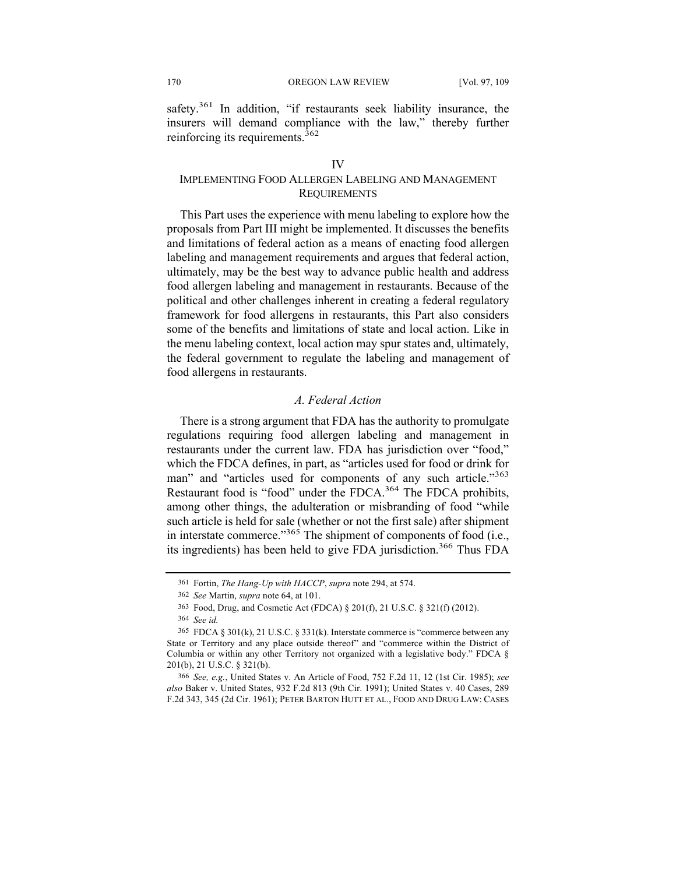safety.<sup>361</sup> In addition, "if restaurants seek liability insurance, the insurers will demand compliance with the law," thereby further reinforcing its requirements.<sup>362</sup>

# IMPLEMENTING FOOD ALLERGEN LABELING AND MANAGEMENT **REQUIREMENTS**

This Part uses the experience with menu labeling to explore how the proposals from Part III might be implemented. It discusses the benefits and limitations of federal action as a means of enacting food allergen labeling and management requirements and argues that federal action, ultimately, may be the best way to advance public health and address food allergen labeling and management in restaurants. Because of the political and other challenges inherent in creating a federal regulatory framework for food allergens in restaurants, this Part also considers some of the benefits and limitations of state and local action. Like in the menu labeling context, local action may spur states and, ultimately, the federal government to regulate the labeling and management of food allergens in restaurants.

# *A. Federal Action*

There is a strong argument that FDA has the authority to promulgate regulations requiring food allergen labeling and management in restaurants under the current law. FDA has jurisdiction over "food," which the FDCA defines, in part, as "articles used for food or drink for man" and "articles used for components of any such article."<sup>363</sup> Restaurant food is "food" under the FDCA.<sup>364</sup> The FDCA prohibits, among other things, the adulteration or misbranding of food "while such article is held for sale (whether or not the first sale) after shipment in interstate commerce." $365$  The shipment of components of food (i.e., its ingredients) has been held to give FDA jurisdiction.<sup>366</sup> Thus FDA

<sup>361</sup> Fortin, *The Hang-Up with HACCP*, *supra* note 294, at 574.

<sup>362</sup> *See* Martin, *supra* note 64, at 101.

<sup>363</sup> Food, Drug, and Cosmetic Act (FDCA) § 201(f), 21 U.S.C. § 321(f) (2012).

<sup>364</sup> *See id.*

<sup>365</sup> FDCA § 301(k), 21 U.S.C. § 331(k). Interstate commerce is "commerce between any State or Territory and any place outside thereof" and "commerce within the District of Columbia or within any other Territory not organized with a legislative body." FDCA § 201(b), 21 U.S.C. § 321(b).

<sup>366</sup> *See, e.g.*, United States v. An Article of Food, 752 F.2d 11, 12 (1st Cir. 1985); *see also* Baker v. United States, 932 F.2d 813 (9th Cir. 1991); United States v. 40 Cases, 289 F.2d 343, 345 (2d Cir. 1961); PETER BARTON HUTT ET AL., FOOD AND DRUG LAW: CASES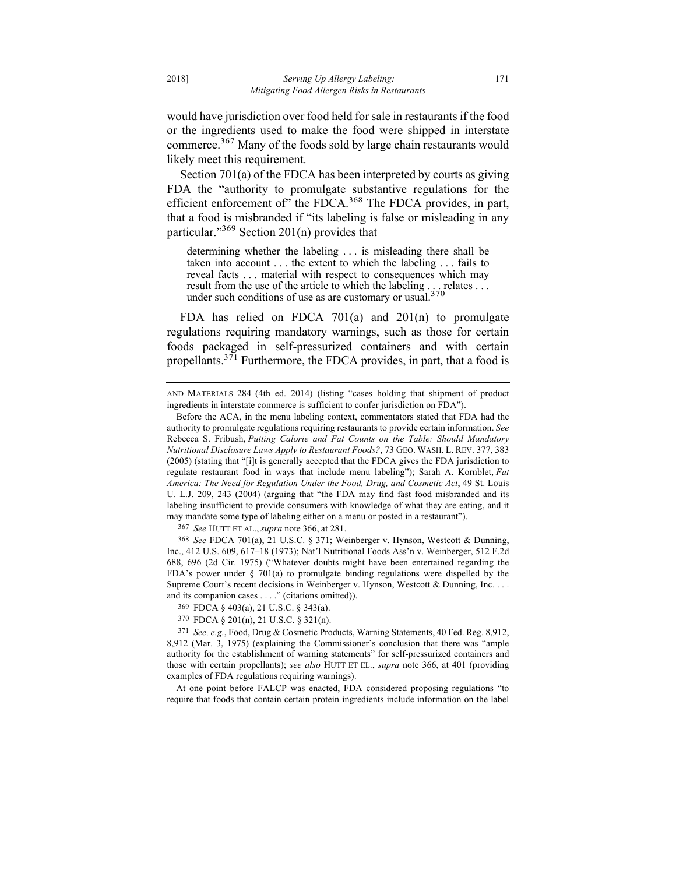would have jurisdiction over food held for sale in restaurants if the food or the ingredients used to make the food were shipped in interstate commerce.<sup>367</sup> Many of the foods sold by large chain restaurants would likely meet this requirement.

Section 701(a) of the FDCA has been interpreted by courts as giving FDA the "authority to promulgate substantive regulations for the efficient enforcement of" the FDCA.<sup>368</sup> The FDCA provides, in part, that a food is misbranded if "its labeling is false or misleading in any particular."369 Section 201(n) provides that

determining whether the labeling . . . is misleading there shall be taken into account . . . the extent to which the labeling . . . fails to reveal facts . . . material with respect to consequences which may result from the use of the article to which the labeling . . . relates . . . under such conditions of use as are customary or usual.<sup>370</sup>

FDA has relied on FDCA 701(a) and 201(n) to promulgate regulations requiring mandatory warnings, such as those for certain foods packaged in self-pressurized containers and with certain propellants. $3^{71}$  Furthermore, the FDCA provides, in part, that a food is

367 *See* HUTT ET AL., *supra* note 366, at 281.

368 *See* FDCA 701(a), 21 U.S.C. § 371; Weinberger v. Hynson, Westcott & Dunning, Inc., 412 U.S. 609, 617–18 (1973); Nat'l Nutritional Foods Ass'n v. Weinberger, 512 F.2d 688, 696 (2d Cir. 1975) ("Whatever doubts might have been entertained regarding the FDA's power under § 701(a) to promulgate binding regulations were dispelled by the Supreme Court's recent decisions in Weinberger v. Hynson, Westcott & Dunning, Inc. . . . and its companion cases . . . ." (citations omitted)).

At one point before FALCP was enacted, FDA considered proposing regulations "to require that foods that contain certain protein ingredients include information on the label

AND MATERIALS 284 (4th ed. 2014) (listing "cases holding that shipment of product ingredients in interstate commerce is sufficient to confer jurisdiction on FDA").

Before the ACA, in the menu labeling context, commentators stated that FDA had the authority to promulgate regulations requiring restaurants to provide certain information. *See*  Rebecca S. Fribush, *Putting Calorie and Fat Counts on the Table: Should Mandatory Nutritional Disclosure Laws Apply to Restaurant Foods?*, 73 GEO. WASH. L. REV. 377, 383 (2005) (stating that "[i]t is generally accepted that the FDCA gives the FDA jurisdiction to regulate restaurant food in ways that include menu labeling"); Sarah A. Kornblet, *Fat America: The Need for Regulation Under the Food, Drug, and Cosmetic Act*, 49 St. Louis U. L.J. 209, 243 (2004) (arguing that "the FDA may find fast food misbranded and its labeling insufficient to provide consumers with knowledge of what they are eating, and it may mandate some type of labeling either on a menu or posted in a restaurant").

<sup>369</sup> FDCA § 403(a), 21 U.S.C. § 343(a).

<sup>370</sup> FDCA § 201(n), 21 U.S.C. § 321(n).

<sup>371</sup> *See, e.g.*, Food, Drug & Cosmetic Products, Warning Statements, 40 Fed. Reg. 8,912, 8,912 (Mar. 3, 1975) (explaining the Commissioner's conclusion that there was "ample authority for the establishment of warning statements" for self-pressurized containers and those with certain propellants); *see also* HUTT ET EL., *supra* note 366, at 401 (providing examples of FDA regulations requiring warnings).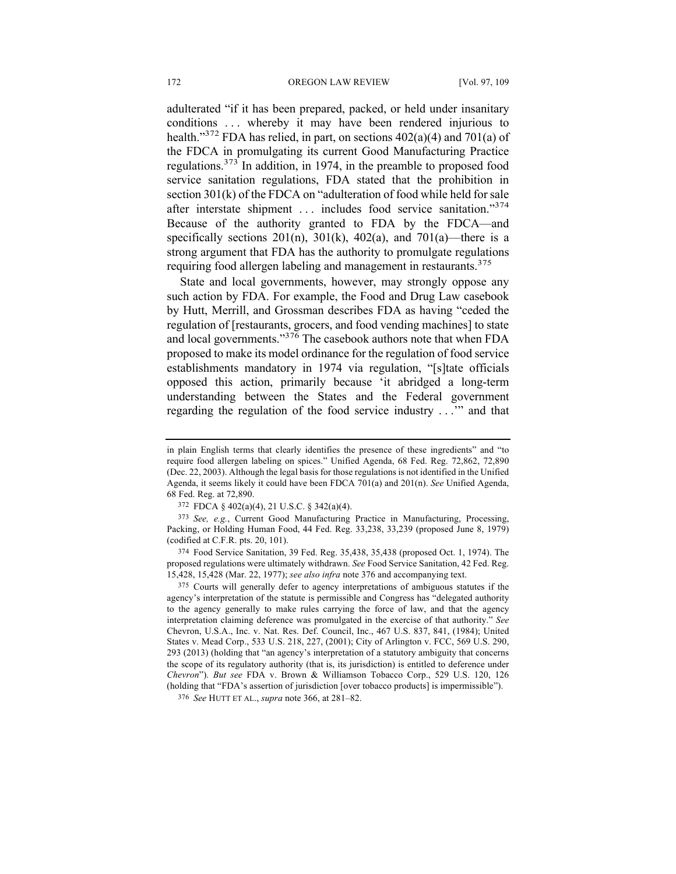adulterated "if it has been prepared, packed, or held under insanitary conditions . . . whereby it may have been rendered injurious to health."<sup>372</sup> FDA has relied, in part, on sections  $402(a)(4)$  and  $701(a)$  of the FDCA in promulgating its current Good Manufacturing Practice regulations.373 In addition, in 1974, in the preamble to proposed food service sanitation regulations, FDA stated that the prohibition in section 301(k) of the FDCA on "adulteration of food while held for sale after interstate shipment ... includes food service sanitation."374 Because of the authority granted to FDA by the FDCA—and specifically sections  $201(n)$ ,  $301(k)$ ,  $402(a)$ , and  $701(a)$ —there is a strong argument that FDA has the authority to promulgate regulations requiring food allergen labeling and management in restaurants.<sup>375</sup>

State and local governments, however, may strongly oppose any such action by FDA. For example, the Food and Drug Law casebook by Hutt, Merrill, and Grossman describes FDA as having "ceded the regulation of [restaurants, grocers, and food vending machines] to state and local governments."<sup>376</sup> The casebook authors note that when FDA proposed to make its model ordinance for the regulation of food service establishments mandatory in 1974 via regulation, "[s]tate officials opposed this action, primarily because 'it abridged a long-term understanding between the States and the Federal government regarding the regulation of the food service industry . . .'" and that

in plain English terms that clearly identifies the presence of these ingredients" and "to require food allergen labeling on spices." Unified Agenda, 68 Fed. Reg. 72,862, 72,890 (Dec. 22, 2003). Although the legal basis for those regulations is not identified in the Unified Agenda, it seems likely it could have been FDCA 701(a) and 201(n). *See* Unified Agenda, 68 Fed. Reg. at 72,890.

<sup>372</sup> FDCA § 402(a)(4), 21 U.S.C. § 342(a)(4).

<sup>373</sup> *See, e.g.*, Current Good Manufacturing Practice in Manufacturing, Processing, Packing, or Holding Human Food, 44 Fed. Reg. 33,238, 33,239 (proposed June 8, 1979) (codified at C.F.R. pts. 20, 101).

<sup>374</sup> Food Service Sanitation, 39 Fed. Reg. 35,438, 35,438 (proposed Oct. 1, 1974). The proposed regulations were ultimately withdrawn. *See* Food Service Sanitation, 42 Fed. Reg. 15,428, 15,428 (Mar. 22, 1977); *see also infra* note 376 and accompanying text.

<sup>375</sup> Courts will generally defer to agency interpretations of ambiguous statutes if the agency's interpretation of the statute is permissible and Congress has "delegated authority to the agency generally to make rules carrying the force of law, and that the agency interpretation claiming deference was promulgated in the exercise of that authority." *See* Chevron, U.S.A., Inc. v. Nat. Res. Def. Council, Inc., 467 U.S. 837, 841, (1984); United States v. Mead Corp., 533 U.S. 218, 227, (2001); City of Arlington v. FCC, 569 U.S. 290, 293 (2013) (holding that "an agency's interpretation of a statutory ambiguity that concerns the scope of its regulatory authority (that is, its jurisdiction) is entitled to deference under *Chevron*"). *But see* FDA v. Brown & Williamson Tobacco Corp., 529 U.S. 120, 126 (holding that "FDA's assertion of jurisdiction [over tobacco products] is impermissible").

<sup>376</sup> *See* HUTT ET AL., *supra* note 366, at 281–82.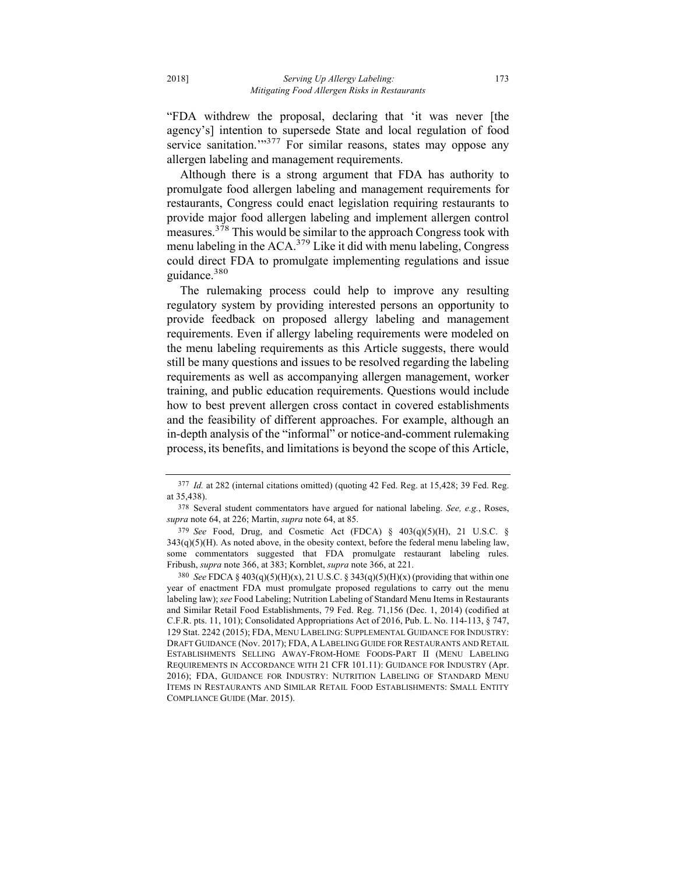"FDA withdrew the proposal, declaring that 'it was never [the agency's] intention to supersede State and local regulation of food service sanitation."<sup>377</sup> For similar reasons, states may oppose any allergen labeling and management requirements.

Although there is a strong argument that FDA has authority to promulgate food allergen labeling and management requirements for restaurants, Congress could enact legislation requiring restaurants to provide major food allergen labeling and implement allergen control measures.<sup>378</sup> This would be similar to the approach Congress took with menu labeling in the  $ACA$ <sup>379</sup> Like it did with menu labeling, Congress could direct FDA to promulgate implementing regulations and issue guidance.<sup>380</sup>

The rulemaking process could help to improve any resulting regulatory system by providing interested persons an opportunity to provide feedback on proposed allergy labeling and management requirements. Even if allergy labeling requirements were modeled on the menu labeling requirements as this Article suggests, there would still be many questions and issues to be resolved regarding the labeling requirements as well as accompanying allergen management, worker training, and public education requirements. Questions would include how to best prevent allergen cross contact in covered establishments and the feasibility of different approaches. For example, although an in-depth analysis of the "informal" or notice-and-comment rulemaking process, its benefits, and limitations is beyond the scope of this Article,

<sup>377</sup> *Id.* at 282 (internal citations omitted) (quoting 42 Fed. Reg. at 15,428; 39 Fed. Reg. at 35,438).

<sup>378</sup> Several student commentators have argued for national labeling. *See, e.g.*, Roses, *supra* note 64, at 226; Martin, *supra* note 64, at 85.

<sup>379</sup> *See* Food, Drug, and Cosmetic Act (FDCA) § 403(q)(5)(H), 21 U.S.C. §  $343(q)(5)(H)$ . As noted above, in the obesity context, before the federal menu labeling law, some commentators suggested that FDA promulgate restaurant labeling rules. Fribush, *supra* note 366, at 383; Kornblet, *supra* note 366, at 221.

<sup>380</sup> *See* FDCA § 403(q)(5)(H)(x), 21 U.S.C. § 343(q)(5)(H)(x) (providing that within one year of enactment FDA must promulgate proposed regulations to carry out the menu labeling law); *see* Food Labeling; Nutrition Labeling of Standard Menu Items in Restaurants and Similar Retail Food Establishments, 79 Fed. Reg. 71,156 (Dec. 1, 2014) (codified at C.F.R. pts. 11, 101); Consolidated Appropriations Act of 2016, Pub. L. No. 114-113, § 747, 129 Stat. 2242 (2015); FDA, MENU LABELING: SUPPLEMENTAL GUIDANCE FOR INDUSTRY: DRAFT GUIDANCE (Nov. 2017); FDA, A LABELING GUIDE FOR RESTAURANTS AND RETAIL ESTABLISHMENTS SELLING AWAY-FROM-HOME FOODS-PART II (MENU LABELING REQUIREMENTS IN ACCORDANCE WITH 21 CFR 101.11): GUIDANCE FOR INDUSTRY (Apr. 2016); FDA, GUIDANCE FOR INDUSTRY: NUTRITION LABELING OF STANDARD MENU ITEMS IN RESTAURANTS AND SIMILAR RETAIL FOOD ESTABLISHMENTS: SMALL ENTITY COMPLIANCE GUIDE (Mar. 2015).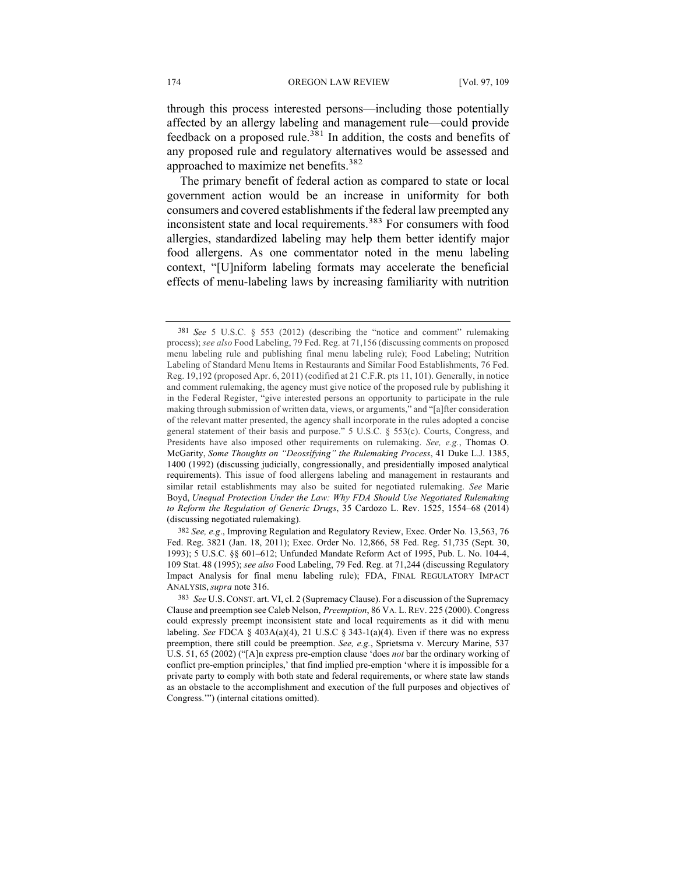through this process interested persons—including those potentially affected by an allergy labeling and management rule—could provide feedback on a proposed rule.<sup>381</sup> In addition, the costs and benefits of any proposed rule and regulatory alternatives would be assessed and approached to maximize net benefits.382

The primary benefit of federal action as compared to state or local government action would be an increase in uniformity for both consumers and covered establishments if the federal law preempted any inconsistent state and local requirements.<sup>383</sup> For consumers with food allergies, standardized labeling may help them better identify major food allergens. As one commentator noted in the menu labeling context, "[U]niform labeling formats may accelerate the beneficial effects of menu-labeling laws by increasing familiarity with nutrition

<sup>381</sup> *See* 5 U.S.C. § 553 (2012) (describing the "notice and comment" rulemaking process); *see also* Food Labeling, 79 Fed. Reg. at 71,156 (discussing comments on proposed menu labeling rule and publishing final menu labeling rule); Food Labeling; Nutrition Labeling of Standard Menu Items in Restaurants and Similar Food Establishments, 76 Fed. Reg. 19,192 (proposed Apr. 6, 2011) (codified at 21 C.F.R. pts 11, 101). Generally, in notice and comment rulemaking, the agency must give notice of the proposed rule by publishing it in the Federal Register, "give interested persons an opportunity to participate in the rule making through submission of written data, views, or arguments," and "[a]fter consideration of the relevant matter presented, the agency shall incorporate in the rules adopted a concise general statement of their basis and purpose." 5 U.S.C. § 553(c). Courts, Congress, and Presidents have also imposed other requirements on rulemaking. *See, e.g.*, Thomas O. McGarity, *Some Thoughts on "Deossifying" the Rulemaking Process*, 41 Duke L.J. 1385, 1400 (1992) (discussing judicially, congressionally, and presidentially imposed analytical requirements). This issue of food allergens labeling and management in restaurants and similar retail establishments may also be suited for negotiated rulemaking. *See* Marie Boyd, *Unequal Protection Under the Law: Why FDA Should Use Negotiated Rulemaking to Reform the Regulation of Generic Drugs*, 35 Cardozo L. Rev. 1525, 1554–68 (2014) (discussing negotiated rulemaking).

<sup>382</sup> *See, e.g*., Improving Regulation and Regulatory Review, Exec. Order No. 13,563, 76 Fed. Reg. 3821 (Jan. 18, 2011); Exec. Order No. 12,866, 58 Fed. Reg. 51,735 (Sept. 30, 1993); 5 U.S.C. §§ 601–612; Unfunded Mandate Reform Act of 1995, Pub. L. No. 104-4, 109 Stat. 48 (1995); *see also* Food Labeling, 79 Fed. Reg. at 71,244 (discussing Regulatory Impact Analysis for final menu labeling rule); FDA, FINAL REGULATORY IMPACT ANALYSIS, *supra* note 316.

<sup>383</sup> *See* U.S.CONST. art. VI, cl. 2 (Supremacy Clause). For a discussion of the Supremacy Clause and preemption see Caleb Nelson, *Preemption*, 86 VA. L. REV. 225 (2000). Congress could expressly preempt inconsistent state and local requirements as it did with menu labeling. *See* FDCA § 403A(a)(4), 21 U.S.C § 343-1(a)(4). Even if there was no express preemption, there still could be preemption. *See, e.g.*, Sprietsma v. Mercury Marine, 537 U.S. 51, 65 (2002) ("[A]n express pre-emption clause 'does *not* bar the ordinary working of conflict pre-emption principles,' that find implied pre-emption 'where it is impossible for a private party to comply with both state and federal requirements, or where state law stands as an obstacle to the accomplishment and execution of the full purposes and objectives of Congress.'") (internal citations omitted).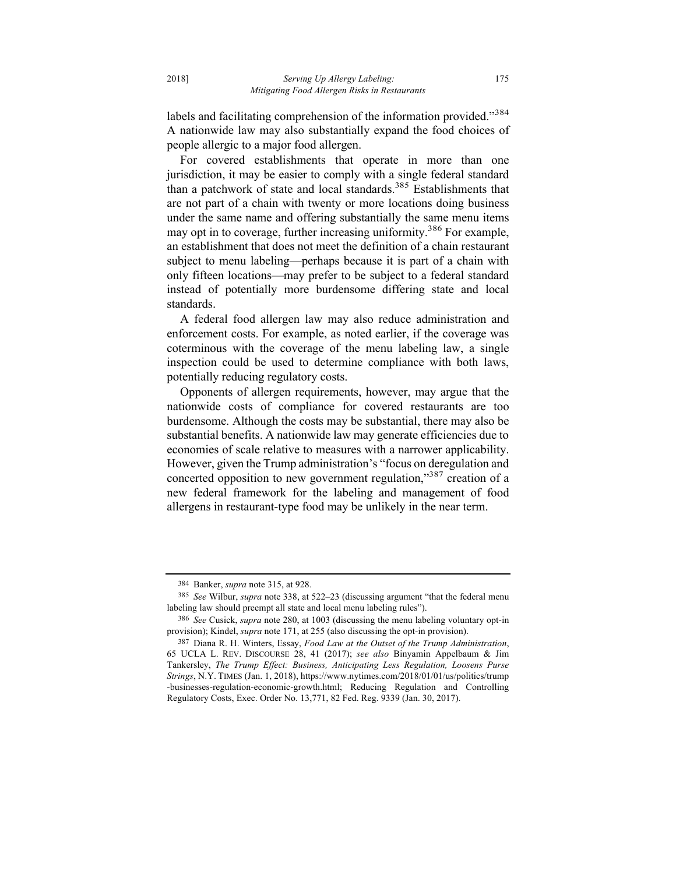labels and facilitating comprehension of the information provided."384 A nationwide law may also substantially expand the food choices of people allergic to a major food allergen.

For covered establishments that operate in more than one jurisdiction, it may be easier to comply with a single federal standard than a patchwork of state and local standards.<sup>385</sup> Establishments that are not part of a chain with twenty or more locations doing business under the same name and offering substantially the same menu items may opt in to coverage, further increasing uniformity.<sup>386</sup> For example, an establishment that does not meet the definition of a chain restaurant subject to menu labeling—perhaps because it is part of a chain with only fifteen locations—may prefer to be subject to a federal standard instead of potentially more burdensome differing state and local standards.

A federal food allergen law may also reduce administration and enforcement costs. For example, as noted earlier, if the coverage was coterminous with the coverage of the menu labeling law, a single inspection could be used to determine compliance with both laws, potentially reducing regulatory costs.

Opponents of allergen requirements, however, may argue that the nationwide costs of compliance for covered restaurants are too burdensome. Although the costs may be substantial, there may also be substantial benefits. A nationwide law may generate efficiencies due to economies of scale relative to measures with a narrower applicability. However, given the Trump administration's "focus on deregulation and concerted opposition to new government regulation,"<sup>387</sup> creation of a new federal framework for the labeling and management of food allergens in restaurant-type food may be unlikely in the near term.

<sup>384</sup> Banker, *supra* note 315, at 928.

<sup>385</sup> *See* Wilbur, *supra* note 338, at 522–23 (discussing argument "that the federal menu labeling law should preempt all state and local menu labeling rules").

<sup>386</sup> *See* Cusick, *supra* note 280, at 1003 (discussing the menu labeling voluntary opt-in provision); Kindel, *supra* note 171, at 255 (also discussing the opt-in provision).

<sup>387</sup> Diana R. H. Winters, Essay, *Food Law at the Outset of the Trump Administration*, 65 UCLA L. REV. DISCOURSE 28, 41 (2017); *see also* Binyamin Appelbaum & Jim Tankersley, *The Trump Effect: Business, Anticipating Less Regulation, Loosens Purse Strings*, N.Y. TIMES (Jan. 1, 2018), https://www.nytimes.com/2018/01/01/us/politics/trump -businesses-regulation-economic-growth.html; Reducing Regulation and Controlling Regulatory Costs, Exec. Order No. 13,771, 82 Fed. Reg. 9339 (Jan. 30, 2017).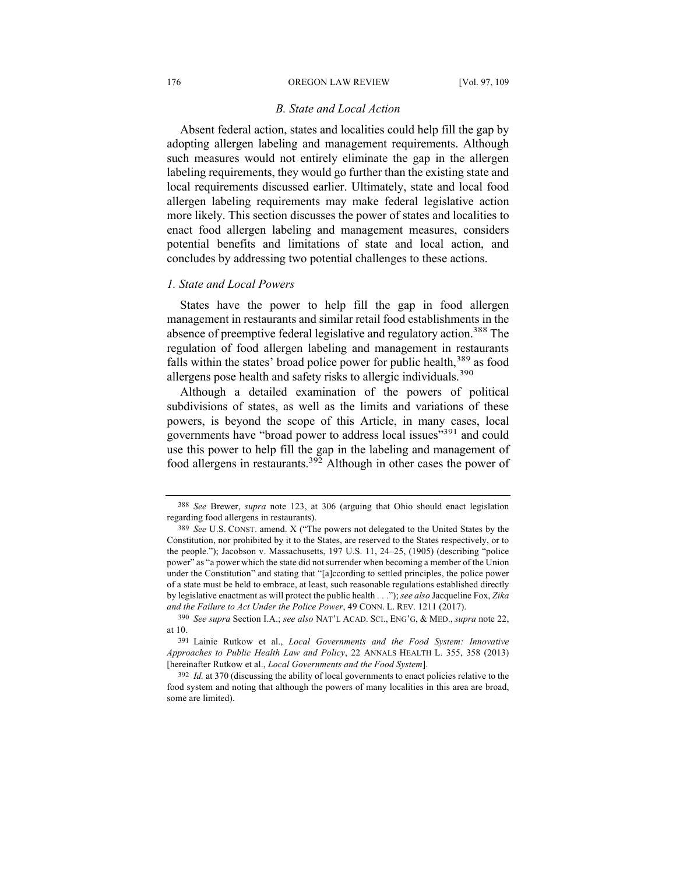#### 176 **OREGON LAW REVIEW** [Vol. 97, 109]

## *B. State and Local Action*

Absent federal action, states and localities could help fill the gap by adopting allergen labeling and management requirements. Although such measures would not entirely eliminate the gap in the allergen labeling requirements, they would go further than the existing state and local requirements discussed earlier. Ultimately, state and local food allergen labeling requirements may make federal legislative action more likely. This section discusses the power of states and localities to enact food allergen labeling and management measures, considers potential benefits and limitations of state and local action, and concludes by addressing two potential challenges to these actions.

#### *1. State and Local Powers*

States have the power to help fill the gap in food allergen management in restaurants and similar retail food establishments in the absence of preemptive federal legislative and regulatory action.<sup>388</sup> The regulation of food allergen labeling and management in restaurants falls within the states' broad police power for public health,  $389$  as food allergens pose health and safety risks to allergic individuals.<sup>390</sup>

Although a detailed examination of the powers of political subdivisions of states, as well as the limits and variations of these powers, is beyond the scope of this Article, in many cases, local governments have "broad power to address local issues"<sup>391</sup> and could use this power to help fill the gap in the labeling and management of food allergens in restaurants.<sup>392</sup> Although in other cases the power of

<sup>388</sup> *See* Brewer, *supra* note 123, at 306 (arguing that Ohio should enact legislation regarding food allergens in restaurants).

<sup>389</sup> *See* U.S. CONST. amend. X ("The powers not delegated to the United States by the Constitution, nor prohibited by it to the States, are reserved to the States respectively, or to the people."); Jacobson v. Massachusetts, 197 U.S. 11, 24–25, (1905) (describing "police power" as "a power which the state did not surrender when becoming a member of the Union under the Constitution" and stating that "[a]ccording to settled principles, the police power of a state must be held to embrace, at least, such reasonable regulations established directly by legislative enactment as will protect the public health . . ."); *see also* Jacqueline Fox, *Zika and the Failure to Act Under the Police Power*, 49 CONN. L. REV. 1211 (2017).

<sup>390</sup> *See supra* Section I.A.; *see also* NAT'L ACAD. SCI., ENG'G, & MED., *supra* note 22, at 10.

<sup>391</sup> Lainie Rutkow et al., *Local Governments and the Food System: Innovative Approaches to Public Health Law and Policy*, 22 ANNALS HEALTH L. 355, 358 (2013) [hereinafter Rutkow et al., *Local Governments and the Food System*].

<sup>392</sup> *Id.* at 370 (discussing the ability of local governments to enact policies relative to the food system and noting that although the powers of many localities in this area are broad, some are limited).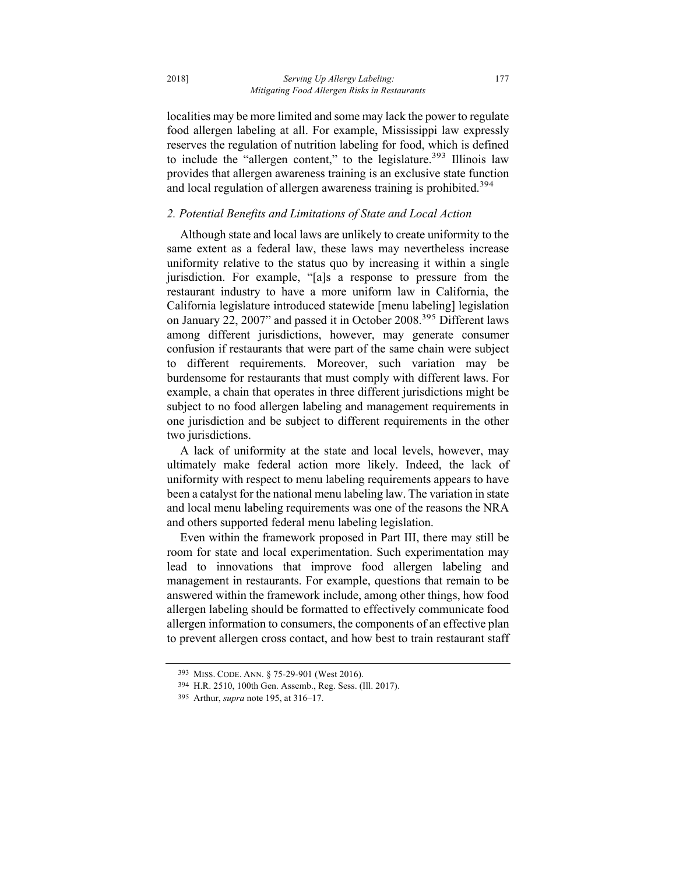localities may be more limited and some may lack the power to regulate food allergen labeling at all. For example, Mississippi law expressly reserves the regulation of nutrition labeling for food, which is defined to include the "allergen content," to the legislature. $393$  Illinois law provides that allergen awareness training is an exclusive state function and local regulation of allergen awareness training is prohibited.<sup>394</sup>

# *2. Potential Benefits and Limitations of State and Local Action*

Although state and local laws are unlikely to create uniformity to the same extent as a federal law, these laws may nevertheless increase uniformity relative to the status quo by increasing it within a single jurisdiction. For example, "[a]s a response to pressure from the restaurant industry to have a more uniform law in California, the California legislature introduced statewide [menu labeling] legislation on January 22, 2007" and passed it in October 2008.395 Different laws among different jurisdictions, however, may generate consumer confusion if restaurants that were part of the same chain were subject to different requirements. Moreover, such variation may be burdensome for restaurants that must comply with different laws. For example, a chain that operates in three different jurisdictions might be subject to no food allergen labeling and management requirements in one jurisdiction and be subject to different requirements in the other two jurisdictions.

A lack of uniformity at the state and local levels, however, may ultimately make federal action more likely. Indeed, the lack of uniformity with respect to menu labeling requirements appears to have been a catalyst for the national menu labeling law. The variation in state and local menu labeling requirements was one of the reasons the NRA and others supported federal menu labeling legislation.

Even within the framework proposed in Part III, there may still be room for state and local experimentation. Such experimentation may lead to innovations that improve food allergen labeling and management in restaurants. For example, questions that remain to be answered within the framework include, among other things, how food allergen labeling should be formatted to effectively communicate food allergen information to consumers, the components of an effective plan to prevent allergen cross contact, and how best to train restaurant staff

<sup>393</sup> MISS. CODE. ANN. § 75-29-901 (West 2016).

<sup>394</sup> H.R. 2510, 100th Gen. Assemb., Reg. Sess. (Ill. 2017).

<sup>395</sup> Arthur, *supra* note 195, at 316–17.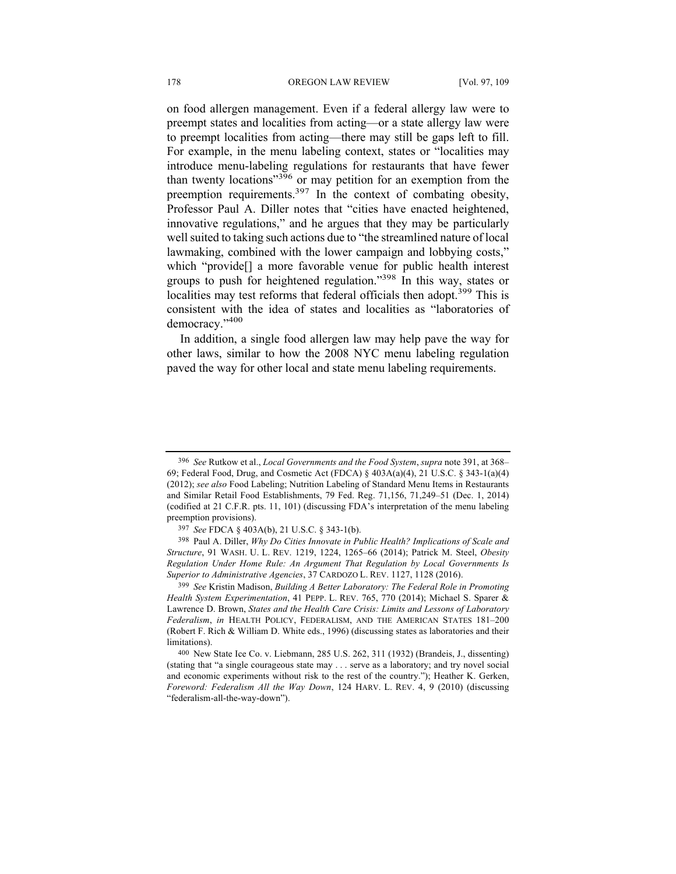on food allergen management. Even if a federal allergy law were to preempt states and localities from acting—or a state allergy law were to preempt localities from acting—there may still be gaps left to fill. For example, in the menu labeling context, states or "localities may introduce menu-labeling regulations for restaurants that have fewer than twenty locations"<sup>396</sup> or may petition for an exemption from the preemption requirements.397 In the context of combating obesity, Professor Paul A. Diller notes that "cities have enacted heightened, innovative regulations," and he argues that they may be particularly well suited to taking such actions due to "the streamlined nature of local lawmaking, combined with the lower campaign and lobbying costs," which "provide[] a more favorable venue for public health interest groups to push for heightened regulation."398 In this way, states or localities may test reforms that federal officials then adopt.<sup>399</sup> This is consistent with the idea of states and localities as "laboratories of democracy."<sup>400</sup>

In addition, a single food allergen law may help pave the way for other laws, similar to how the 2008 NYC menu labeling regulation paved the way for other local and state menu labeling requirements.

<sup>396</sup> *See* Rutkow et al., *Local Governments and the Food System*, *supra* note 391, at 368– 69; Federal Food, Drug, and Cosmetic Act (FDCA) § 403A(a)(4), 21 U.S.C. § 343-1(a)(4) (2012); *see also* Food Labeling; Nutrition Labeling of Standard Menu Items in Restaurants and Similar Retail Food Establishments, 79 Fed. Reg. 71,156, 71,249–51 (Dec. 1, 2014) (codified at 21 C.F.R. pts. 11, 101) (discussing FDA's interpretation of the menu labeling preemption provisions).

<sup>397</sup> *See* FDCA § 403A(b), 21 U.S.C. § 343-1(b).

<sup>398</sup> Paul A. Diller, *Why Do Cities Innovate in Public Health? Implications of Scale and Structure*, 91 WASH. U. L. REV. 1219, 1224, 1265–66 (2014); Patrick M. Steel, *Obesity Regulation Under Home Rule: An Argument That Regulation by Local Governments Is Superior to Administrative Agencies*, 37 CARDOZO L. REV. 1127, 1128 (2016).

<sup>399</sup> *See* Kristin Madison, *Building A Better Laboratory: The Federal Role in Promoting Health System Experimentation*, 41 PEPP. L. REV. 765, 770 (2014); Michael S. Sparer & Lawrence D. Brown, *States and the Health Care Crisis: Limits and Lessons of Laboratory Federalism*, *in* HEALTH POLICY, FEDERALISM, AND THE AMERICAN STATES 181–200 (Robert F. Rich & William D. White eds., 1996) (discussing states as laboratories and their limitations).

<sup>400</sup> New State Ice Co. v. Liebmann, 285 U.S. 262, 311 (1932) (Brandeis, J., dissenting) (stating that "a single courageous state may . . . serve as a laboratory; and try novel social and economic experiments without risk to the rest of the country."); Heather K. Gerken, *Foreword: Federalism All the Way Down*, 124 HARV. L. REV. 4, 9 (2010) (discussing "federalism-all-the-way-down").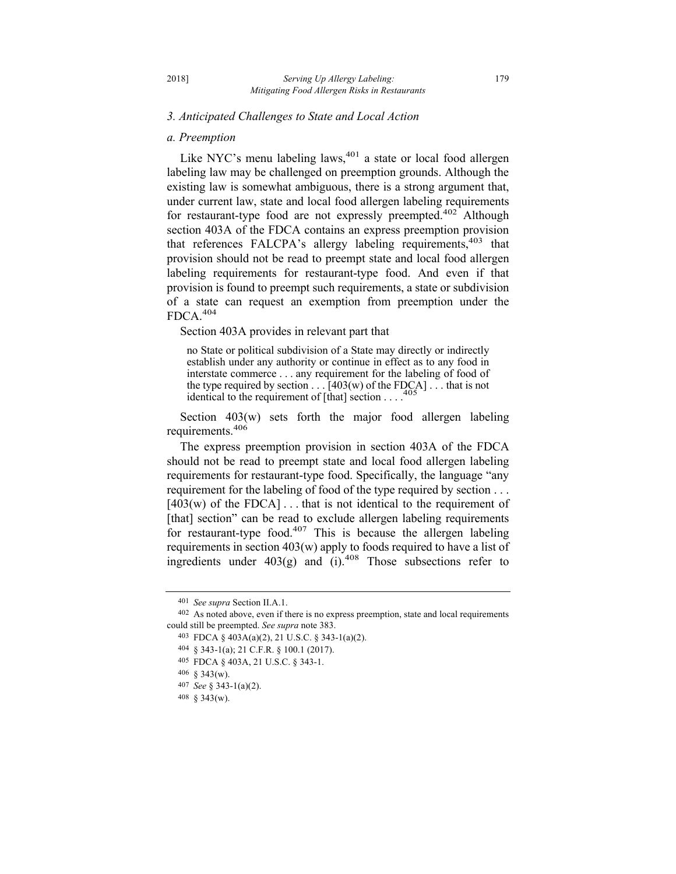#### *3. Anticipated Challenges to State and Local Action*

#### *a. Preemption*

Like NYC's menu labeling laws,<sup>401</sup> a state or local food allergen labeling law may be challenged on preemption grounds. Although the existing law is somewhat ambiguous, there is a strong argument that, under current law, state and local food allergen labeling requirements for restaurant-type food are not expressly preempted.<sup>402</sup> Although section 403A of the FDCA contains an express preemption provision that references FALCPA's allergy labeling requirements,  $403$  that provision should not be read to preempt state and local food allergen labeling requirements for restaurant-type food. And even if that provision is found to preempt such requirements, a state or subdivision of a state can request an exemption from preemption under the FDCA.<sup>404</sup>

Section 403A provides in relevant part that

no State or political subdivision of a State may directly or indirectly establish under any authority or continue in effect as to any food in interstate commerce . . . any requirement for the labeling of food of the type required by section  $\dots$  [403(w) of the FDCA]  $\dots$  that is not identical to the requirement of [that] section identical to the requirement of [that] section . . . .

Section 403(w) sets forth the major food allergen labeling requirements.<sup>406</sup>

The express preemption provision in section 403A of the FDCA should not be read to preempt state and local food allergen labeling requirements for restaurant-type food. Specifically, the language "any requirement for the labeling of food of the type required by section . . .  $[403(w)$  of the FDCA] ... that is not identical to the requirement of [that] section" can be read to exclude allergen labeling requirements for restaurant-type food.<sup>407</sup> This is because the allergen labeling requirements in section 403(w) apply to foods required to have a list of ingredients under  $403(g)$  and (i).<sup>408</sup> Those subsections refer to

<sup>401</sup> *See supra* Section II.A.1.

<sup>402</sup> As noted above, even if there is no express preemption, state and local requirements could still be preempted. *See supra* note 383.

<sup>403</sup> FDCA § 403A(a)(2), 21 U.S.C. § 343-1(a)(2).

<sup>404</sup> § 343-1(a); 21 C.F.R. § 100.1 (2017).

<sup>405</sup> FDCA § 403A, 21 U.S.C. § 343-1.

<sup>406</sup> § 343(w).

<sup>407</sup> *See* § 343-1(a)(2).

<sup>408</sup> § 343(w).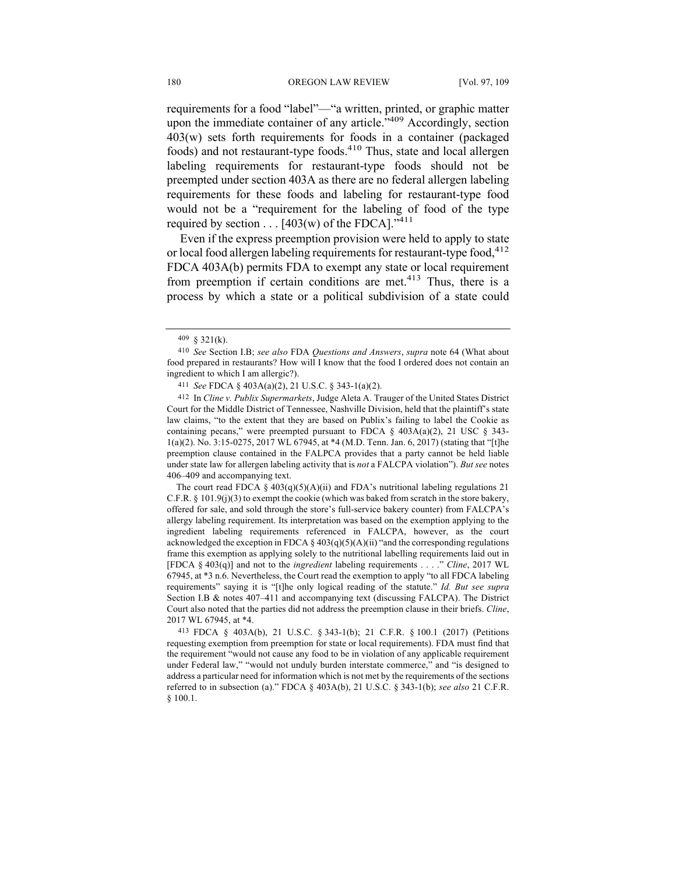requirements for a food "label"—"a written, printed, or graphic matter upon the immediate container of any article.<sup>"409</sup> Accordingly, section 403(w) sets forth requirements for foods in a container (packaged foods) and not restaurant-type foods.410 Thus, state and local allergen labeling requirements for restaurant-type foods should not be preempted under section 403A as there are no federal allergen labeling requirements for these foods and labeling for restaurant-type food would not be a "requirement for the labeling of food of the type required by section  $\dots$  [403(w) of the FDCA]."<sup>411</sup>

Even if the express preemption provision were held to apply to state or local food allergen labeling requirements for restaurant-type food, 412 FDCA 403A(b) permits FDA to exempt any state or local requirement from preemption if certain conditions are met.<sup>413</sup> Thus, there is a process by which a state or a political subdivision of a state could

The court read FDCA  $\S$  403(q)(5)(A)(ii) and FDA's nutritional labeling regulations 21 C.F.R.  $\S$  101.9(j)(3) to exempt the cookie (which was baked from scratch in the store bakery, offered for sale, and sold through the store's full-service bakery counter) from FALCPA's allergy labeling requirement. Its interpretation was based on the exemption applying to the ingredient labeling requirements referenced in FALCPA, however, as the court acknowledged the exception in FDCA  $\S 403(q)(5)(A)(ii)$  "and the corresponding regulations frame this exemption as applying solely to the nutritional labelling requirements laid out in [FDCA § 403(q)] and not to the *ingredient* labeling requirements . . . ." *Cline*, 2017 WL 67945, at \*3 n.6. Nevertheless, the Court read the exemption to apply "to all FDCA labeling requirements" saying it is "[t]he only logical reading of the statute." *Id. But see supra* Section I.B & notes 407–411 and accompanying text (discussing FALCPA). The District Court also noted that the parties did not address the preemption clause in their briefs. *Cline*, 2017 WL 67945, at \*4.

413 FDCA § 403A(b), 21 U.S.C. § 343-1(b); 21 C.F.R. § 100.1 (2017) (Petitions requesting exemption from preemption for state or local requirements). FDA must find that the requirement "would not cause any food to be in violation of any applicable requirement under Federal law," "would not unduly burden interstate commerce," and "is designed to address a particular need for information which is not met by the requirements of the sections referred to in subsection (a)." FDCA § 403A(b), 21 U.S.C. § 343-1(b); *see also* 21 C.F.R. § 100.1.

<sup>409</sup> § 321(k).

<sup>410</sup> *See* Section I.B; *see also* FDA *Questions and Answers*, *supra* note 64 (What about food prepared in restaurants? How will I know that the food I ordered does not contain an ingredient to which I am allergic?).

<sup>411</sup> *See* FDCA § 403A(a)(2), 21 U.S.C. § 343-1(a)(2).

<sup>412</sup> In *Cline v. Publix Supermarkets*, Judge Aleta A. Trauger of the United States District Court for the Middle District of Tennessee, Nashville Division, held that the plaintiff's state law claims, "to the extent that they are based on Publix's failing to label the Cookie as containing pecans," were preempted pursuant to FDCA  $\S$  403A(a)(2), 21 USC  $\S$  343-1(a)(2). No. 3:15-0275, 2017 WL 67945, at \*4 (M.D. Tenn. Jan. 6, 2017) (stating that "[t]he preemption clause contained in the FALPCA provides that a party cannot be held liable under state law for allergen labeling activity that is *not* a FALCPA violation"). *But see* notes 406–409 and accompanying text.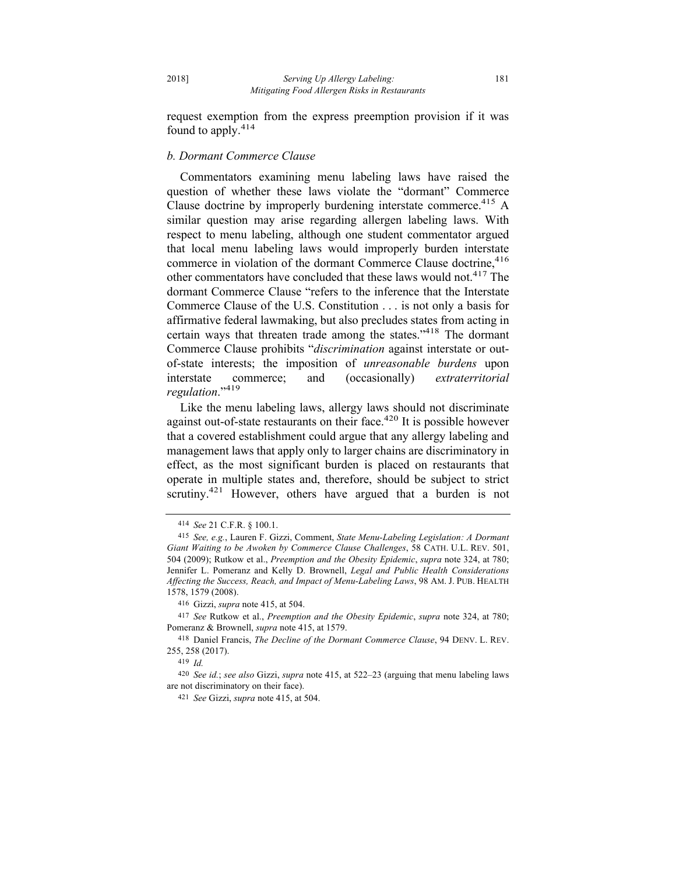request exemption from the express preemption provision if it was found to apply.<sup>414</sup>

## *b. Dormant Commerce Clause*

Commentators examining menu labeling laws have raised the question of whether these laws violate the "dormant" Commerce Clause doctrine by improperly burdening interstate commerce.<sup>415</sup> A similar question may arise regarding allergen labeling laws. With respect to menu labeling, although one student commentator argued that local menu labeling laws would improperly burden interstate commerce in violation of the dormant Commerce Clause doctrine,<sup>416</sup> other commentators have concluded that these laws would not.<sup>417</sup> The dormant Commerce Clause "refers to the inference that the Interstate Commerce Clause of the U.S. Constitution . . . is not only a basis for affirmative federal lawmaking, but also precludes states from acting in certain ways that threaten trade among the states."418 The dormant Commerce Clause prohibits "*discrimination* against interstate or outof-state interests; the imposition of *unreasonable burdens* upon interstate commerce; and (occasionally) *extraterritorial regulation*."<sup>419</sup>

Like the menu labeling laws, allergy laws should not discriminate against out-of-state restaurants on their face. $420$  It is possible however that a covered establishment could argue that any allergy labeling and management laws that apply only to larger chains are discriminatory in effect, as the most significant burden is placed on restaurants that operate in multiple states and, therefore, should be subject to strict scrutiny.<sup>421</sup> However, others have argued that a burden is not

<sup>414</sup> *See* 21 C.F.R. § 100.1.

<sup>415</sup> *See, e.g.*, Lauren F. Gizzi, Comment, *State Menu-Labeling Legislation: A Dormant Giant Waiting to be Awoken by Commerce Clause Challenges*, 58 CATH. U.L. REV. 501, 504 (2009); Rutkow et al., *Preemption and the Obesity Epidemic*, *supra* note 324, at 780; Jennifer L. Pomeranz and Kelly D. Brownell, *Legal and Public Health Considerations Affecting the Success, Reach, and Impact of Menu-Labeling Laws*, 98 AM. J. PUB. HEALTH 1578, 1579 (2008).

<sup>416</sup> Gizzi, *supra* note 415, at 504.

<sup>417</sup> *See* Rutkow et al., *Preemption and the Obesity Epidemic*, *supra* note 324, at 780; Pomeranz & Brownell, *supra* note 415, at 1579.

<sup>418</sup> Daniel Francis, *The Decline of the Dormant Commerce Clause*, 94 DENV. L. REV. 255, 258 (2017).

<sup>419</sup> *Id.*

<sup>420</sup> *See id.*; *see also* Gizzi, *supra* note 415, at 522–23 (arguing that menu labeling laws are not discriminatory on their face).

<sup>421</sup> *See* Gizzi, *supra* note 415, at 504.